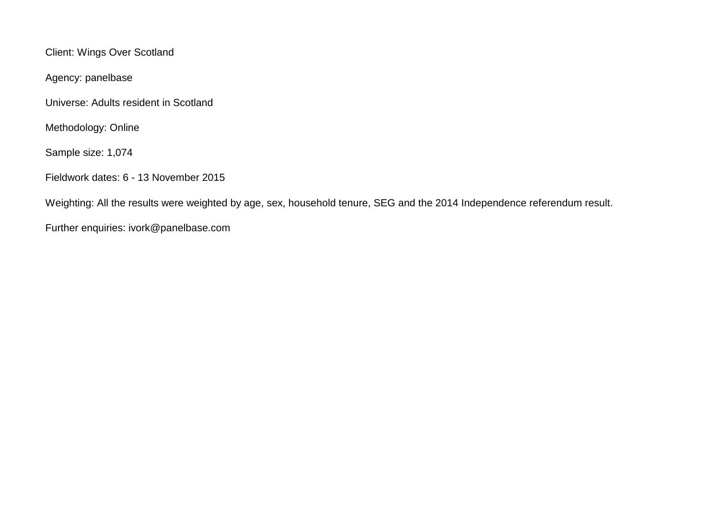Client: Wings Over Scotland

Agency: panelbase

Universe: Adults resident in Scotland

Methodology: Online

Sample size: 1,074

Fieldwork dates: 6 - 13 November 2015

Weighting: All the results were weighted by age, sex, household tenure, SEG and the 2014 Independence referendum result.

Further enquiries: ivork@panelbase.com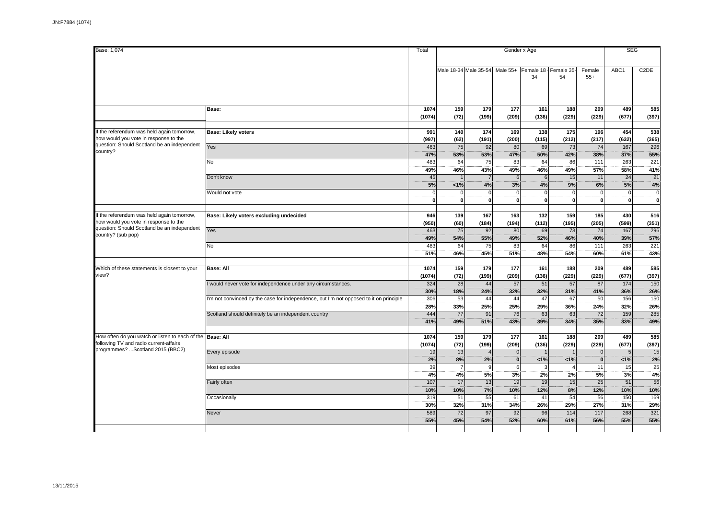| Base: 1,074                                                                                         |                                                                                       | Total                   |                        |                          | Gender x Age                |                             |                               |                                | <b>SEG</b>                     |                         |
|-----------------------------------------------------------------------------------------------------|---------------------------------------------------------------------------------------|-------------------------|------------------------|--------------------------|-----------------------------|-----------------------------|-------------------------------|--------------------------------|--------------------------------|-------------------------|
|                                                                                                     |                                                                                       |                         |                        |                          |                             |                             |                               |                                |                                |                         |
|                                                                                                     |                                                                                       |                         |                        | Male 18-34 Male 35-54    | Male 55+                    | Female 18   Female 35<br>34 | 54                            | Female<br>$55+$                | ABC1                           | C <sub>2</sub> DE       |
|                                                                                                     | Base:                                                                                 | 1074<br>(1074)          | 159<br>(72)            | 179<br>(199)             | 177<br>(209)                | 161<br>(136)                | 188<br>(229)                  | 209<br>(229)                   | 489<br>(677)                   | 585<br>(397)            |
|                                                                                                     |                                                                                       |                         |                        |                          |                             |                             |                               |                                |                                |                         |
| If the referendum was held again tomorrow,<br>how would you vote in response to the                 | <b>Base: Likely voters</b>                                                            | 991<br>(997)            | 140<br>(62)            | 174<br>(191)             | 169<br>(200)                | 138<br>(115)                | 175<br>(212)                  | 196<br>(217)                   | 454<br>(632)                   | 538<br>(365)            |
| question: Should Scotland be an independent<br>country?                                             | Yes                                                                                   | 463<br>47%              | 75<br>53%              | 92<br>53%                | 80<br>47%                   | 69<br>50%                   | 73<br>42%                     | 74<br>38%                      | 167<br>37%                     | 296<br>55%              |
|                                                                                                     | No                                                                                    | 483<br>49%              | 64<br>46%              | 75<br>43%                | 83<br>49%                   | 64<br>46%                   | 86<br>49%                     | 111<br>57%                     | 263<br>58%                     | $\overline{221}$<br>41% |
|                                                                                                     | Don't know                                                                            | 45<br>5%                | 1%                     | $\overline{7}$<br>4%     | 6<br>3%                     | 6<br>4%                     | 15<br>9%                      | 11<br>6%                       | 24<br>5%                       | 21<br>4%                |
|                                                                                                     | Would not vote                                                                        | $\Omega$<br>$\mathbf 0$ | $\Omega$<br>$\bf{0}$   | $\Omega$<br>$\mathbf{0}$ | $\mathbf{C}$<br>$\mathbf 0$ | $\mathbf 0$<br>$\mathbf{0}$ | $\mathbf 0$<br>$\overline{0}$ | $\mathfrak{c}$<br>$\mathbf{0}$ | $\overline{0}$<br>$\mathbf{0}$ | $\overline{0}$<br>ö     |
|                                                                                                     |                                                                                       |                         |                        |                          |                             |                             |                               |                                |                                |                         |
| If the referendum was held again tomorrow,<br>how would you vote in response to the                 | Base: Likely voters excluding undecided                                               | 946<br>(950)            | 139<br>(60)            | 167<br>(184)             | 163<br>(194)                | 132<br>(112)                | 159<br>(195)                  | 185<br>(205)                   | 430<br>(599)                   | 516<br>(351)            |
| question: Should Scotland be an independent<br>country? (sub pop)                                   | Yes                                                                                   | 463<br>49%              | 75<br>54%              | 92<br>55%                | 80<br>49%                   | 69<br>52%                   | 73<br>46%                     | 74<br>40%                      | 167<br>39%                     | 296<br>57%              |
|                                                                                                     | No                                                                                    | 483<br>51%              | 64<br>46%              | 75<br>45%                | 83<br>51%                   | 64<br>48%                   | 86<br>54%                     | 111<br>60%                     | 263<br>61%                     | 221<br>43%              |
|                                                                                                     |                                                                                       |                         |                        |                          |                             |                             |                               |                                |                                |                         |
| Which of these statements is closest to your<br>view?                                               | <b>Base: All</b>                                                                      | 1074<br>(1074)          | 159<br>(72)            | 179<br>(199)             | 177<br>(209)                | 161<br>(136)                | 188<br>(229)                  | 209<br>(229)                   | 489<br>(677)                   | 585<br>(397)            |
|                                                                                                     | would never vote for independence under any circumstances.                            | 324<br>30%              | 28<br>18%              | 44<br>24%                | 57<br>32%                   | 51<br>32%                   | 57<br>31%                     | 87<br>41%                      | 174<br>36%                     | 150<br>26%              |
|                                                                                                     | 'm not convinced by the case for independence, but I'm not opposed to it on principle | 306<br>28%              | 53<br>33%              | 44<br>25%                | 44<br>25%                   | 47<br>29%                   | 67<br>36%                     | 50<br>24%                      | 156<br>32%                     | 150<br>26%              |
|                                                                                                     | Scotland should definitely be an independent country                                  | 444<br>41%              | 77<br>49%              | 91<br>51%                | 76<br>43%                   | 63<br>39%                   | 63<br>34%                     | 72<br>35%                      | 159<br>33%                     | 285<br>49%              |
|                                                                                                     |                                                                                       |                         |                        |                          |                             |                             |                               |                                |                                |                         |
| How often do you watch or listen to each of the Base: All<br>following TV and radio current-affairs |                                                                                       | 1074<br>(1074)          | 159<br>(72)            | 179<br>(199)             | 177<br>(209)                | 161<br>(136)                | 188<br>(229)                  | 209<br>(229)                   | 489<br>(677)                   | 585<br>(397)            |
| programmes? Scotland 2015 (BBC2)                                                                    | Every episode                                                                         | 19<br>2%                | 13<br>8%               | $\overline{4}$<br>2%     | $\mathbf 0$<br>$\mathbf{0}$ | 1%                          | 1%                            | $\mathsf{C}$<br>$\mathbf{0}$   | 5<br>1%                        | 15<br>2%                |
|                                                                                                     | Most episodes                                                                         | 39<br>4%                | $\overline{7}$<br>4%   | 9<br>5%                  | $6\phantom{1}6$<br>3%       | 3<br>2%                     | 2%                            | 11<br>5%                       | 15<br>3%                       | 25<br>4%                |
|                                                                                                     | Fairly often                                                                          | 107<br>10%              | 17<br>10%              | 13<br>7%                 | 19<br>10%                   | 19<br>12%                   | 15<br>8%                      | 25<br>12%                      | 51<br>10%                      | 56<br>10%               |
|                                                                                                     | Occasionally                                                                          | 319<br>30%              | 51<br>32%              | 55<br>31%                | 61<br>34%                   | 41<br>26%                   | 54<br>29%                     | 56<br>27%                      | 150<br>31%                     | 169<br>29%              |
|                                                                                                     | Never                                                                                 | 589<br>55%              | $\overline{72}$<br>45% | 97<br>54%                | 92<br>52%                   | 96<br>60%                   | 114<br>61%                    | 117<br>56%                     | 268<br>55%                     | 321<br>55%              |
|                                                                                                     |                                                                                       |                         |                        |                          |                             |                             |                               |                                |                                |                         |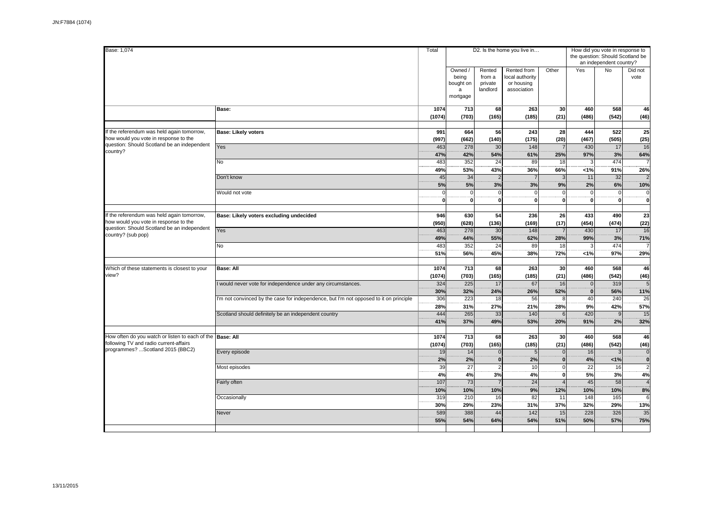| Base: 1,074                                                                               |                                                                                        | Total                |                                                | D2. Is the home you live in             |                                                             | How did you vote in response to<br>the question: Should Scotland be<br>an independent country? |                               |                            |                          |  |  |
|-------------------------------------------------------------------------------------------|----------------------------------------------------------------------------------------|----------------------|------------------------------------------------|-----------------------------------------|-------------------------------------------------------------|------------------------------------------------------------------------------------------------|-------------------------------|----------------------------|--------------------------|--|--|
|                                                                                           |                                                                                        |                      | Owned /<br>being<br>bought on<br>a<br>mortgage | Rented<br>from a<br>private<br>landlord | Rented from<br>local authority<br>or housing<br>association | Other                                                                                          | Yes                           | <b>No</b>                  | Did not<br>vote          |  |  |
|                                                                                           | Base:                                                                                  | 1074<br>(1074)       | 713<br>(703)                                   | 68<br>(165)                             | 263<br>(185)                                                | 30<br>(21)                                                                                     | 460<br>(486)                  | 568<br>(542)               | 46<br>(46)               |  |  |
| If the referendum was held again tomorrow,<br>how would you vote in response to the       | <b>Base: Likely voters</b>                                                             | 991<br>(997)         | 664<br>(662)                                   | 56<br>(140)                             | 243<br>(175)                                                | 28<br>(20)                                                                                     | 444<br>(467)                  | 522<br>(505)               | 25<br>(25)               |  |  |
| question: Should Scotland be an independent<br>country?                                   | Yes                                                                                    | 463<br>47%           | 278<br>42%                                     | 30<br>54%                               | 148<br>61%                                                  | $\overline{7}$<br>25%                                                                          | 430<br>97%                    | 17<br>3%                   | 16<br>64%                |  |  |
|                                                                                           | N <sub>o</sub>                                                                         | 483<br>49%           | 352<br>53%                                     | $\overline{24}$<br>43%                  | 89<br>36%                                                   | 18<br>66%                                                                                      | $\overline{3}$<br>1%          | 474<br>91%                 | 26%                      |  |  |
|                                                                                           | Don't know<br>Would not vote                                                           | 45<br>5%<br>$\Omega$ | 34<br>5%<br>$\overline{0}$                     | $\overline{2}$<br>3%<br><sub>0</sub>    | $\overline{7}$<br>3%<br>$\Omega$                            | G<br>9%<br>$\Omega$                                                                            | 11<br>2%<br>$\overline{0}$    | 32<br>6%<br>$\overline{0}$ | 10%<br>$\pmb{0}$         |  |  |
|                                                                                           |                                                                                        | $\mathbf{0}$         | $\pmb{0}$                                      | οl                                      | 0                                                           | $\mathbf 0$                                                                                    | $\pmb{0}$                     | $\mathbf{0}$               | $\pmb{0}$                |  |  |
| If the referendum was held again tomorrow,<br>how would you vote in response to the       | Base: Likely voters excluding undecided                                                | 946<br>(950)         | 630<br>(628)                                   | 54<br>(136)                             | 236<br>(169)                                                | 26<br>(17)                                                                                     | 433<br>(454)                  | 490<br>(474)               | 23<br>(22)               |  |  |
| question: Should Scotland be an independent<br>country? (sub pop)                         | Yes                                                                                    | 463<br>49%           | 278<br>44%                                     | 30<br>55%                               | 148<br>62%                                                  | $\overline{7}$<br>28%                                                                          | 430<br>99%                    | 17<br>3%                   | 16<br>71%                |  |  |
|                                                                                           | No                                                                                     | 483<br>51%           | 352<br>56%                                     | 24<br>45%                               | 89<br>38%                                                   | 18<br>72%                                                                                      | 3<br>1%                       | 474<br>97%                 | 29%                      |  |  |
| Which of these statements is closest to your<br>view?                                     | <b>Base: All</b>                                                                       | 1074<br>(1074)       | 713<br>(703)                                   | 68<br>(165)                             | 263<br>(185)                                                | 30<br>(21)                                                                                     | 460<br>(486)                  | 568<br>(542)               | 46<br>(46)               |  |  |
|                                                                                           | would never vote for independence under any circumstances.                             | 324<br>30%           | 225<br>32%                                     | 17<br>24%                               | 67<br>26%                                                   | 16<br>52%                                                                                      | 0 <br>$\overline{\mathbf{0}}$ | 319<br>56%                 | 5<br>11%                 |  |  |
|                                                                                           | I'm not convinced by the case for independence, but I'm not opposed to it on principle | 306<br>28%           | 223<br>31%                                     | 18<br>27%                               | 56<br>21%                                                   | £<br>28%                                                                                       | 40<br>9%                      | 240<br>42%                 | 26<br>57%                |  |  |
|                                                                                           | Scotland should definitely be an independent country                                   | 444<br>41%           | 265<br>37%                                     | 33<br>49%                               | 140<br>53%                                                  | 6<br>20%                                                                                       | 420<br>91%                    | 9 <br>2%                   | 15<br>32%                |  |  |
| How often do you watch or listen to each of the<br>following TV and radio current-affairs | <b>Base: All</b>                                                                       | 1074<br>(1074)       | 713<br>(703)                                   | 68<br>(165)                             | 263<br>(185)                                                | 30<br>(21)                                                                                     | 460<br>(486)                  | 568<br>(542)               | 46<br>(46)               |  |  |
| programmes? Scotland 2015 (BBC2)                                                          | Every episode                                                                          | 19<br>2%             | 14<br>2%                                       | $\overline{0}$<br>$\bf{0}$              | 5 <sup>1</sup><br>2%                                        | $\Omega$<br>$\mathbf{0}$                                                                       | 16<br>4%                      | 3<br>< 1%                  | $\pmb{0}$<br>$\mathbf 0$ |  |  |
|                                                                                           | Most episodes                                                                          | 39<br>4%             | $\overline{27}$<br>4%                          | $\overline{2}$<br>3%                    | 10<br>4%                                                    | $\mathbf 0$<br>$\mathbf 0$                                                                     | $\overline{22}$<br>5%         | 16<br>3%                   | $\overline{2}$<br>4%     |  |  |
|                                                                                           | Fairly often                                                                           | 107<br>10%           | $\overline{73}$<br>10%                         | $\overline{7}$<br>10%                   | $\overline{24}$<br>9%                                       | $\overline{4}$<br>12%<br>11                                                                    | $\overline{45}$<br>10%        | $\overline{58}$<br>10%     | $\overline{A}$<br>8%     |  |  |
|                                                                                           | Occasionally<br>Never                                                                  | 319<br>30%<br>589    | 210<br>29%<br>388                              | 16<br>23%<br>44                         | 82<br>31%<br>$142$                                          | 37%<br>15                                                                                      | 148<br>32%<br>228             | 165<br>29%<br>326          | 6<br>13%<br>35           |  |  |
|                                                                                           |                                                                                        | 55%                  | 54%                                            | 64%                                     | 54%                                                         | 51%                                                                                            | 50%                           | 57%                        | 75%                      |  |  |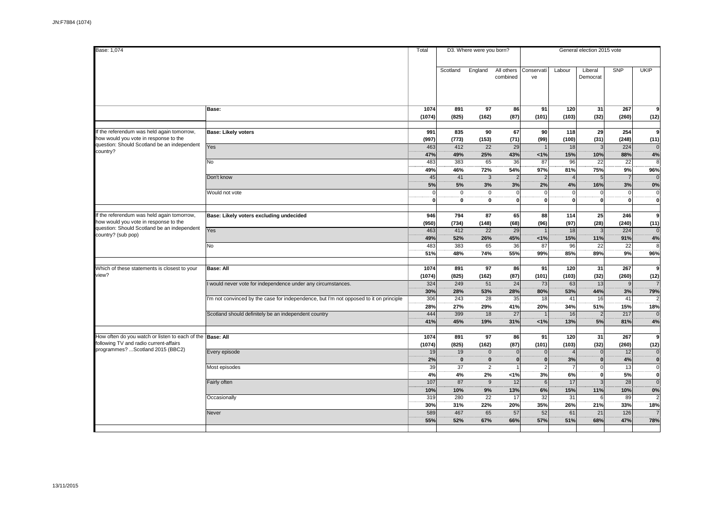| Base: 1,074                                     |                                                                                       | Total       |              | D3. Where were you born? |                |                |                | General election 2015 vote |                |                |
|-------------------------------------------------|---------------------------------------------------------------------------------------|-------------|--------------|--------------------------|----------------|----------------|----------------|----------------------------|----------------|----------------|
|                                                 |                                                                                       |             |              |                          |                |                |                |                            |                |                |
|                                                 |                                                                                       |             |              |                          |                |                |                |                            |                |                |
|                                                 |                                                                                       |             | Scotland     | England                  | All others     | Conservati     | Labour         | Liberal                    | SNP            | <b>UKIP</b>    |
|                                                 |                                                                                       |             |              |                          | combined       | ve             |                | Democrat                   |                |                |
|                                                 |                                                                                       |             |              |                          |                |                |                |                            |                |                |
|                                                 |                                                                                       |             |              |                          |                |                |                |                            |                |                |
|                                                 |                                                                                       |             |              |                          |                |                |                |                            |                |                |
|                                                 |                                                                                       |             |              |                          |                |                |                |                            |                |                |
|                                                 |                                                                                       |             |              |                          |                |                |                |                            |                |                |
|                                                 | Base:                                                                                 | 1074        | 891          | 97                       | 86             | 91             | 120            | 31                         | 267            | 9              |
|                                                 |                                                                                       | (1074)      | (825)        | (162)                    | (87)           | (101)          | (103)          | (32)                       | (260)          | (12)           |
|                                                 |                                                                                       |             |              |                          |                |                |                |                            |                |                |
|                                                 |                                                                                       |             |              |                          |                |                |                |                            |                |                |
| f the referendum was held again tomorrow,       | Base: Likely voters                                                                   | 991         | 835          | 90                       | 67             | 90             | 118            | 29                         | 254            | 9              |
| how would you vote in response to the           |                                                                                       | (997)       | (773)        | (153)                    | (71)           | (99)           | (100)          | (31)                       | (248)          | (11)           |
| question: Should Scotland be an independent     | Yes                                                                                   | 463         | 412          | 22                       | 29             |                | 18             | 3                          | 224            | $\mathbf 0$    |
| country?                                        |                                                                                       | 47%         | 49%          | 25%                      | 43%            | 1%             | 15%            | 10%                        | 88%            |                |
|                                                 |                                                                                       |             |              |                          |                |                |                |                            |                | 4%             |
|                                                 | No                                                                                    | 483         | 383          | 65                       | 36             | 87             | 96             | $\overline{22}$            | 22             | 8              |
|                                                 |                                                                                       | 49%         | 46%          | 72%                      | 54%            | 97%            | 81%            | 75%                        | 9%             | 96%            |
|                                                 | Don't know                                                                            | 45          | 41           | $\mathbf{3}$             | $\overline{2}$ | $\mathcal{P}$  | $\overline{4}$ | 5                          | $\overline{7}$ | $\Omega$       |
|                                                 |                                                                                       |             |              |                          |                |                |                |                            |                |                |
|                                                 |                                                                                       | 5%          | 5%           | 3%                       | 3%             | 2%             | 4%             | 16%                        | 3%             | 0%             |
|                                                 | Would not vote                                                                        | $\Omega$    | $\mathbf 0$  | $\mathbf 0$              |                | $\Omega$       | $\Omega$       | $\Omega$                   | $\overline{0}$ | $\mathbf 0$    |
|                                                 |                                                                                       | $\mathbf 0$ | $\mathbf 0$  | $\mathbf 0$              | $\mathbf 0$    | 0              | $\mathbf{0}$   | 0                          | $\mathbf{0}$   | o              |
|                                                 |                                                                                       |             |              |                          |                |                |                |                            |                |                |
|                                                 |                                                                                       |             |              |                          |                |                |                |                            |                |                |
| If the referendum was held again tomorrow,      | Base: Likely voters excluding undecided                                               | 946         | 794          | 87                       | 65             | 88             | 114            | 25                         | 246            | 9              |
| how would you vote in response to the           |                                                                                       | (950)       | (734)        | (148)                    | (68)           | (96)           | (97)           | (28)                       | (240)          | (11)           |
| question: Should Scotland be an independent     | Yes                                                                                   | 463         | 412          | 22                       | 29             |                | 18             | 3                          | 224            | $\mathbf 0$    |
| country? (sub pop)                              |                                                                                       |             |              |                          |                |                |                |                            |                |                |
|                                                 |                                                                                       | 49%         | 52%          | 26%                      | 45%            | 1%             | 15%            | 11%                        | 91%            | 4%             |
|                                                 | No                                                                                    | 483         | 383          | 65                       | 36             | 87             | 96             | 22                         | 22             | 8              |
|                                                 |                                                                                       | 51%         | 48%          | 74%                      | 55%            | 99%            | 85%            | 89%                        | 9%             | 96%            |
|                                                 |                                                                                       |             |              |                          |                |                |                |                            |                |                |
|                                                 |                                                                                       |             |              |                          |                |                |                |                            |                |                |
| Which of these statements is closest to your    | Base: All                                                                             | 1074        | 891          | 97                       | 86             | 91             | 120            | 31                         | 267            | 9              |
| view?                                           |                                                                                       | (1074)      | (825)        | (162)                    | (87)           | (101)          | (103)          | (32)                       | (260)          | (12)           |
|                                                 | would never vote for independence under any circumstances.                            | 324         | 249          | 51                       | 24             | 73             | 63             | 13                         | 9              |                |
|                                                 |                                                                                       |             |              |                          |                |                |                |                            |                |                |
|                                                 |                                                                                       | 30%         | 28%          | 53%                      | 28%            | 80%            | 53%            | 44%                        | 3%             | 79%            |
|                                                 | 'm not convinced by the case for independence, but I'm not opposed to it on principle | 306         | 243          | 28                       | 35             | 18             | 41             | 16                         | 41             |                |
|                                                 |                                                                                       | 28%         | 27%          | 29%                      | 41%            | 20%            | 34%            | 51%                        | 15%            | 18%            |
|                                                 | Scotland should definitely be an independent country                                  | 444         | 399          | 18                       | 27             |                | 16             | $\overline{2}$             | 217            | $\Omega$       |
|                                                 |                                                                                       |             |              |                          |                |                |                |                            |                |                |
|                                                 |                                                                                       | 41%         | 45%          | 19%                      | 31%            | 1%             | 13%            | 5%                         | 81%            | 4%             |
|                                                 |                                                                                       |             |              |                          |                |                |                |                            |                |                |
| How often do you watch or listen to each of the | <b>Base: All</b>                                                                      | 1074        | 891          | 97                       | 86             | 91             | 120            | 31                         | 267            | 9              |
| following TV and radio current-affairs          |                                                                                       | (1074)      | (825)        | (162)                    | (87)           | (101)          | (103)          | (32)                       | (260)          | (12)           |
| programmes? Scotland 2015 (BBC2)                |                                                                                       |             |              |                          |                |                |                |                            |                |                |
|                                                 | Every episode                                                                         | 19          | 19           | $\mathbf 0$              | $\Omega$       | $\overline{0}$ | $\overline{4}$ | 0                          | 12             | $\mathbf 0$    |
|                                                 |                                                                                       | 2%          | $\mathbf{0}$ | $\mathbf{0}$             | $\mathbf{0}$   | 0              | 3%             | $\mathbf{0}$               | 4%             | $\pmb{0}$      |
|                                                 | Most episodes                                                                         | 39          | 37           | $\overline{2}$           |                | $\overline{2}$ | $\overline{7}$ | $\overline{0}$             | 13             | $\overline{0}$ |
|                                                 |                                                                                       |             |              |                          |                |                |                |                            |                |                |
|                                                 |                                                                                       | 4%          | 4%           | 2%                       | 1%             | 3%             | 6%             | $\mathbf{0}$               | 5%             | $\pmb{0}$      |
|                                                 | Fairly often                                                                          | 107         | 87           | 9                        | 12             | 6 <sup>1</sup> | 17             | 3                          | 28             | $\overline{0}$ |
|                                                 |                                                                                       | 10%         | 10%          | 9%                       | 13%            | 6%             | 15%            | 11%                        | 10%            | 0%             |
|                                                 |                                                                                       | 319         | 280          | 22                       | 17             | 32             | 31             | 6                          | 89             | $\overline{2}$ |
|                                                 | Occasionally                                                                          |             |              |                          |                |                |                |                            |                |                |
|                                                 |                                                                                       | 30%         | 31%          | 22%                      | 20%            | 35%            | 26%            | 21%                        | 33%            | 18%            |
|                                                 | Never                                                                                 | 589         | 467          | 65                       | 57             | 52             | 61             | 21                         | 126            |                |
|                                                 |                                                                                       | 55%         | 52%          | 67%                      | 66%            | 57%            | 51%            | 68%                        | 47%            | 78%            |
|                                                 |                                                                                       |             |              |                          |                |                |                |                            |                |                |
|                                                 |                                                                                       |             |              |                          |                |                |                |                            |                |                |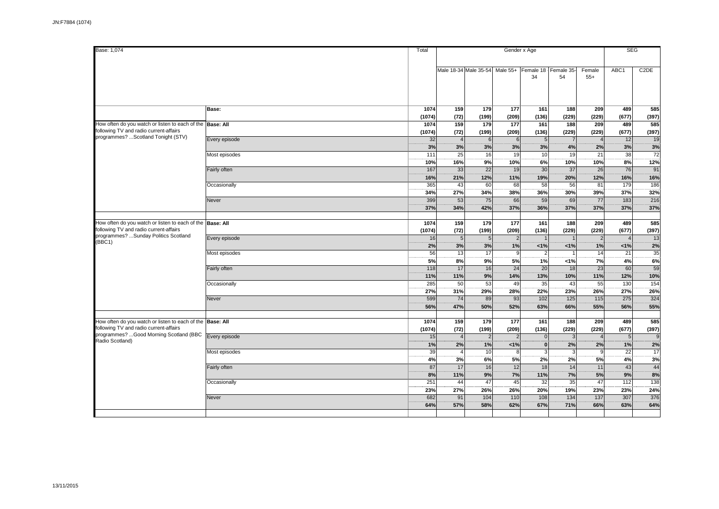| Base: 1,074                                                                                                                                           |               |                |                      |                                |                      | Gender x Age           |                      |                        | <b>SEG</b>           |                         |  |
|-------------------------------------------------------------------------------------------------------------------------------------------------------|---------------|----------------|----------------------|--------------------------------|----------------------|------------------------|----------------------|------------------------|----------------------|-------------------------|--|
|                                                                                                                                                       |               |                |                      | Male 18-34 Male 35-54 Male 55+ |                      |                        | Female 18 Female 35- | Female                 | ABC <sub>1</sub>     | C <sub>2</sub> DE       |  |
|                                                                                                                                                       |               |                |                      |                                |                      | 34                     | 54                   | $55+$                  |                      |                         |  |
|                                                                                                                                                       | Base:         | 1074<br>(1074) | 159<br>(72)          | 179<br>(199)                   | 177<br>(209)         | 161<br>(136)           | 188<br>(229)         | 209<br>(229)           | 489<br>(677)         | 585<br>(397)            |  |
| How often do you watch or listen to each of the Base: All<br>following TV and radio current-affairs                                                   |               | 1074<br>(1074) | 159<br>(72)          | 179<br>(199)                   | 177<br>(209)         | 161<br>(136)           | 188<br>(229)         | 209<br>(229)           | 489<br>(677)         | 585<br>(397)            |  |
| programmes? Scotland Tonight (STV)                                                                                                                    | Every episode | 32<br>3%       | $\overline{4}$<br>3% | 6<br>3%                        | 6<br>3%              | 5 <sub>l</sub><br>3%   | $\overline{7}$<br>4% | 2%                     | 12<br>3%             | 19<br>3%                |  |
|                                                                                                                                                       | Most episodes | 111<br>10%     | 25<br>16%            | 16<br>9%                       | 19<br>10%            | 10 <sup>1</sup><br>6%  | 19<br>10%            | 21<br>10%              | 38<br>8%             | $\overline{72}$<br>12%  |  |
|                                                                                                                                                       | Fairly often  | 167<br>16%     | 33<br>21%            | 22<br>12%                      | 19<br>11%            | 30<br>19%              | 37<br>20%            | 26<br>12%              | 76<br>16%            | 91<br>16%               |  |
|                                                                                                                                                       | Occasionally  | 365<br>34%     | 43<br>27%            | 60<br>34%<br>75                | 68<br>38%            | 58<br>36%              | 56<br>30%            | 81<br>39%              | 179<br>37%           | 186<br>32%              |  |
|                                                                                                                                                       | Never         | 399<br>37%     | 53<br>34%            | 42%                            | 66<br>37%            | 59<br>36%              | 69<br>37%            | $\overline{77}$<br>37% | 183<br>37%           | 216<br>37%              |  |
| How often do you watch or listen to each of the Base: All<br>following TV and radio current-affairs<br>programmes? Sunday Politics Scotland<br>(BBC1) |               | 1074<br>(1074) | 159<br>(72)          | 179<br>(199)                   | 177<br>(209)         | 161<br>(136)           | 188<br>(229)         | 209<br>(229)           | 489<br>(677)         | 585<br>(397)            |  |
|                                                                                                                                                       | Every episode | 16<br>2%       | 5<br>3%              | 5<br>3%                        | $\overline{2}$<br>1% | $< 1\%$                | 1<br>1%              | $\overline{2}$<br>1%   | $\overline{4}$<br>1% | 13<br>2%                |  |
|                                                                                                                                                       | Most episodes | 56<br>5%       | 13<br>8%             | 17<br>9%                       | 9<br>5%              | $\overline{2}$<br>1%   | $\overline{1}$<br>1% | 14<br>7%               | 21<br>4%             | 35<br>6%                |  |
|                                                                                                                                                       | Fairly often  | 118<br>11%     | 17<br>11%            | 16<br>9%                       | 24<br>14%            | 20<br>13%              | 18<br>10%            | 23<br>11%              | 60<br>12%            | 59<br>10%               |  |
|                                                                                                                                                       | Occasionally  | 285<br>27%     | 50<br>31%            | 53<br>29%                      | 49<br>28%            | 35<br>22%              | 43<br>23%            | 55<br>26%              | 130<br>27%           | $\overline{154}$<br>26% |  |
|                                                                                                                                                       | Never         | 599<br>56%     | 74<br>47%            | 89<br>50%                      | 93<br>52%            | 102<br>63%             | $125$<br>66%         | 115<br>55%             | 275<br>56%           | 324<br>55%              |  |
| How often do you watch or listen to each of the Base: All<br>following TV and radio current-affairs                                                   |               | 1074<br>(1074) | 159<br>(72)          | 179<br>(199)                   | 177<br>(209)         | 161<br>(136)           | 188<br>(229)         | 209<br>(229)           | 489<br>(677)         | 585<br>(397)            |  |
| programmes? Good Morning Scotland (BBC<br>Radio Scotland)                                                                                             | Every episode | 15<br>1%       | $\overline{4}$<br>2% | $\overline{2}$<br>1%           | $\overline{2}$<br>1% | $\overline{0}$<br> 0   | $\mathbf{3}$<br>2%   | 2%                     | 5 <sub>5</sub><br>1% | <sup>9</sup><br>2%      |  |
|                                                                                                                                                       | Most episodes | 39<br>4%       | $\overline{A}$<br>3% | 10<br>6%                       | 8<br>5%              | $\overline{3}$<br>2%   | 3<br>2%              | q<br>5%                | 22<br>4%             | 17<br>3%                |  |
|                                                                                                                                                       | Fairly often  | 87<br>8%       | 17<br>11%            | 16<br>9%                       | 12<br>7%             | 18 <sup>l</sup><br>11% | 14<br>7%             | 11<br>5%               | 43<br>9%             | 44<br>8%                |  |
|                                                                                                                                                       | Occasionally  | 251<br>23%     | 44<br>27%            | 47<br>26%                      | 45<br>26%            | 32<br>20%              | 35<br>19%            | 47<br>23%              | 112<br>23%           | 138<br>24%              |  |
|                                                                                                                                                       | Never         | 682<br>64%     | 91<br>57%            | 104<br>58%                     | 110<br>62%           | 108<br>67%             | 134<br>71%           | 137<br>66%             | 307<br>63%           | 376<br>64%              |  |
|                                                                                                                                                       |               |                |                      |                                |                      |                        |                      |                        |                      |                         |  |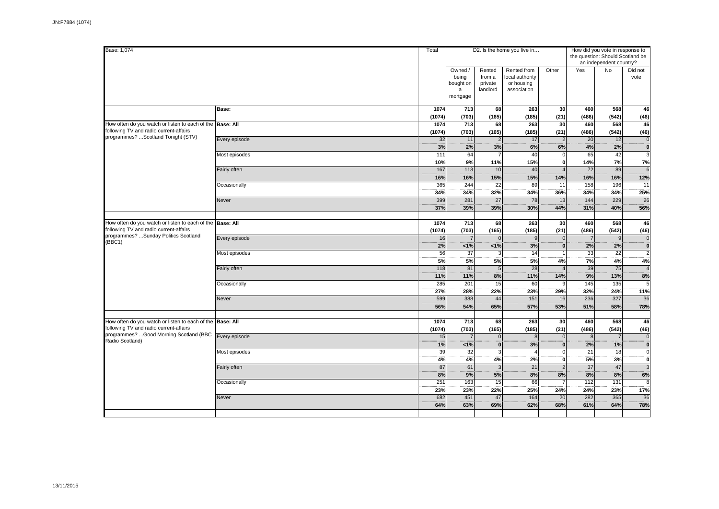| Base: 1,074                                                                                         |               | Total              |                                                |                                         | D2. Is the home you live in                                 |                              | the question: Should Scotland be | How did you vote in response to<br>an independent country? |                             |
|-----------------------------------------------------------------------------------------------------|---------------|--------------------|------------------------------------------------|-----------------------------------------|-------------------------------------------------------------|------------------------------|----------------------------------|------------------------------------------------------------|-----------------------------|
|                                                                                                     |               |                    | Owned /<br>being<br>bought on<br>a<br>mortgage | Rented<br>from a<br>private<br>landlord | Rented from<br>local authority<br>or housing<br>association | Other                        | Yes                              | <b>No</b>                                                  | Did not<br>vote             |
|                                                                                                     | Base:         | 1074<br>(1074)     | 713<br>(703)                                   | 68<br>(165)                             | 263<br>(185)                                                | 30<br>(21)                   | 460<br>(486)                     | 568<br>(542)                                               | 46<br>(46)                  |
| How often do you watch or listen to each of the Base: All<br>following TV and radio current-affairs |               | 1074<br>(1074)     | 713<br>(703)                                   | 68<br>(165)                             | 263<br>(185)                                                | 30<br>(21)                   | 460<br>(486)                     | 568<br>(542)                                               | 46<br>(46)                  |
| programmes?  Scotland Tonight (STV)                                                                 | Every episode | 32<br>3%           | 11<br>2%                                       | $\overline{2}$<br>3%                    | 17<br>6%                                                    | $\overline{2}$<br>6%         | 20<br>4%                         | 12<br>2%                                                   | $\overline{0}$<br>ö         |
|                                                                                                     | Most episodes | 111<br>10%         | 64<br>9%                                       | 11%                                     | 40<br>15%                                                   | $\Omega$<br>$\mathbf 0$      | 65<br>14%                        | 42<br>7%                                                   | $\overline{3}$<br>7%        |
|                                                                                                     | Fairly often  | 167<br>16%         | 113<br>16%                                     | 10<br>15%                               | 40<br>15%                                                   | 14%                          | 72<br>16%                        | 89<br>16%                                                  | $\epsilon$<br>12%           |
|                                                                                                     | Occasionally  | 365<br>34%         | 244<br>34%                                     | $\overline{22}$<br>32%                  | 89<br>34%                                                   | 11<br>36%                    | 158<br>34%                       | 196<br>34%                                                 | $\overline{11}$<br>25%      |
|                                                                                                     | Never         | 399<br>37%         | 281<br>39%                                     | 27<br>39%                               | 78<br>30%                                                   | 13<br>44%                    | 144<br>31%                       | 229<br>40%                                                 | 26<br>56%                   |
| How often do you watch or listen to each of the Base: All<br>following TV and radio current-affairs |               | 1074<br>(1074)     | $\overline{713}$<br>(703)                      | 68<br>(165)                             | 263<br>(185)                                                | 30<br>(21)                   | 460<br>(486)                     | 568<br>(542)                                               | 46<br>(46)                  |
| programmes? Sunday Politics Scotland<br>(BBC1)                                                      | Every episode | 16<br>2%           | $\overline{7}$<br>1%                           | $\mathbf{0}$<br>1%                      | 9<br>3%                                                     | $\Omega$<br>$\mathbf{0}$     | $\overline{7}$<br>2%             | 9<br>2%                                                    | $\overline{0}$<br>ö         |
|                                                                                                     | Most episodes | 56<br>5%           | 37<br>5%                                       | 3<br>5%                                 | 14<br>5%                                                    | $\overline{ }$<br>4%         | 33<br>7%                         | 22<br>4%                                                   | $\overline{2}$<br>4%        |
|                                                                                                     | Fairly often  | 118<br>11%         | 81<br>11%                                      | 5<br>8%                                 | 28<br>11%                                                   | $\overline{ }$<br>14%        | 39<br>9%                         | 75<br>13%                                                  | $\overline{4}$<br>8%        |
|                                                                                                     | Occasionally  | 285<br>27%         | 201<br>28%                                     | 15<br>22%                               | 60<br>23%                                                   | 29%                          | 145<br>32%                       | 135<br>24%                                                 | 5<br>11%                    |
|                                                                                                     | Never         | 599<br>56%         | 388<br>54%                                     | 44<br>65%                               | 151<br>57%                                                  | 16<br>53%                    | 236<br>51%                       | 327<br>58%                                                 | 36<br>78%                   |
| How often do you watch or listen to each of the Base: All<br>following TV and radio current-affairs |               | 1074               | 713                                            | 68                                      | 263                                                         | 30                           | 460                              | 568                                                        | 46                          |
| programmes? Good Morning Scotland (BBC<br>Radio Scotland)                                           | Every episode | (1074)<br>15<br>1% | (703)<br>$\overline{7}$<br>1%                  | (165)<br>$\mathbf{0}$<br>$\mathbf{0}$   | (185)<br>8<br>3%                                            | (21)<br>$\Omega$<br>$\Omega$ | (486)<br>$\overline{8}$          | (542)<br>$\overline{7}$<br>1%                              | (46)<br>$\overline{0}$<br>ö |
|                                                                                                     | Most episodes | 39<br>4%           | $\overline{32}$<br>4%                          | 3<br>4%                                 | $\overline{A}$<br>2%                                        | $\Omega$<br>$\mathbf 0$      | 2%<br>$\overline{21}$<br>5%      | $\overline{18}$<br>3%                                      | $\overline{0}$<br>ö         |
|                                                                                                     | Fairly often  | 87<br>8%           | 61<br>9%                                       | 3<br>5%                                 | 21<br>8%                                                    | $\overline{2}$<br>8%         | $\overline{37}$<br>8%            | 47<br>8%                                                   | $\overline{3}$<br>6%        |
|                                                                                                     | Occasionally  | 251<br>23%         | 163<br>23%                                     | 15<br>22%                               | 66<br>25%                                                   | 24%                          | 112<br>24%                       | 131<br>23%                                                 | 8<br>17%                    |
|                                                                                                     | Never         | 682<br>64%         | 451<br>63%                                     | 47<br>69%                               | 164<br>62%                                                  | 20<br>68%                    | 282<br>61%                       | 365<br>64%                                                 | 36<br>78%                   |
|                                                                                                     |               |                    |                                                |                                         |                                                             |                              |                                  |                                                            |                             |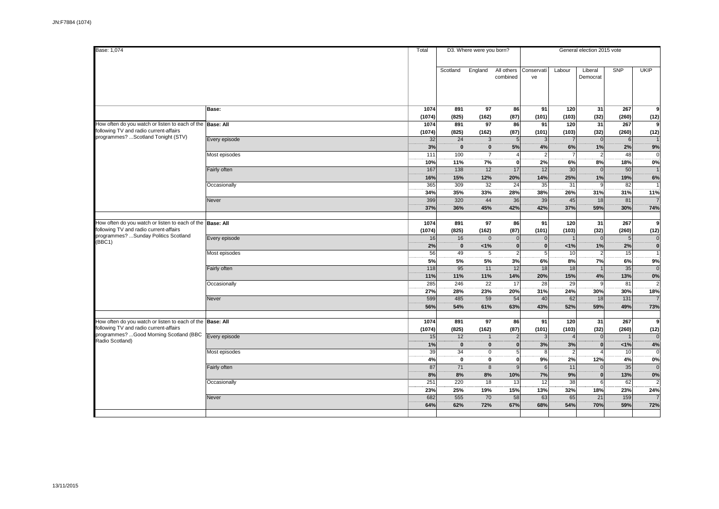| Base: 1,074                                                                                                                                 |                                | Total             |                            | D3. Where were you born?       |                                            |                        |                                | General election 2015 vote       |                            |                     |
|---------------------------------------------------------------------------------------------------------------------------------------------|--------------------------------|-------------------|----------------------------|--------------------------------|--------------------------------------------|------------------------|--------------------------------|----------------------------------|----------------------------|---------------------|
|                                                                                                                                             |                                |                   | Scotland                   | England                        | All others<br>combined                     | Conservati<br>ve       | Labour                         | Liberal<br>Democrat              | SNP                        | <b>UKIP</b>         |
|                                                                                                                                             | Base:                          | 1074<br>(1074)    | 891<br>(825)               | 97<br>(162)                    | 86<br>(87)                                 | 91<br>(101)            | 120<br>(103)                   | 31<br>(32)                       | 267<br>(260)               | 9<br>(12)           |
| How often do you watch or listen to each of the Base: All<br>following TV and radio current-affairs                                         |                                | 1074<br>(1074)    | 891<br>(825)               | 97<br>(162)                    | 86<br>(87)                                 | 91<br>(101)            | 120<br>(103)                   | 31<br>(32)                       | 267<br>(260)               | 9<br>(12)           |
| programmes? Scotland Tonight (STV)                                                                                                          | Every episode                  | 32<br>3%          | 24<br>$\dddot{\mathbf{o}}$ | 3<br>$\mathbf 0$               | $\overline{5}$<br>5%                       | $\mathcal{R}$<br>4%    | 6%                             | $\overline{0}$<br>1%             | $6 \mid$<br>2%             | 9%                  |
|                                                                                                                                             | Most episodes                  | 111<br>10%        | 100<br>11%                 | $\overline{7}$<br>7%           | $\overline{4}$<br>$\Omega$                 | $\overline{2}$<br>2%   | 6%                             | $\overline{2}$<br>8%             | 48<br>18%                  | 0%                  |
|                                                                                                                                             | Fairly often<br>Occasionally   | 167<br>16%<br>365 | 138<br>15%<br>309          | 12<br>12%<br>32                | 17<br>20%<br>$\overline{24}$               | 12<br>14%<br>35        | 30<br>25%<br>31                | $\mathbf{0}$<br>1%<br>9          | 50<br>19%<br>82            | 6%                  |
|                                                                                                                                             | Never                          | 34%<br>399        | 35%<br>320                 | 33%<br>44                      | 28%<br>36                                  | 38%<br>39              | 26%<br>45                      | 31%<br>18                        | 31%<br>81                  | 11%                 |
|                                                                                                                                             |                                | 37%               | 36%                        | 45%                            | 42%                                        | 42%                    | 37%                            | 59%                              | 30%                        | 74%                 |
| How often do you watch or listen to each of the Base: All<br>following TV and radio current-affairs<br>programmes? Sunday Politics Scotland |                                | 1074<br>(1074)    | 891<br>(825)               | 97<br>(162)                    | 86<br>(87)                                 | 91<br>(101)            | 120<br>(103)                   | 31<br>(32)                       | 267<br>(260)               | 9<br>(12)           |
| (BBC1)                                                                                                                                      | Every episode<br>Most episodes | 16<br>2%<br>56    | 16<br>$\mathbf 0$<br>49    | $\mathbf 0$<br>1%<br>5         | $\Omega$<br>$\mathbf{0}$<br>$\overline{2}$ | $\mathbf{0}$<br>0<br>5 | 1%<br>10                       | $\Omega$<br>1%<br>$\overline{2}$ | 5 <sup>1</sup><br>2%<br>15 | $\mathbf 0$<br>Ö    |
|                                                                                                                                             | Fairly often                   | 5%<br>118         | 5%<br>95                   | 5%<br>11                       | 3%<br>12                                   | 6%<br>18               | 8%<br>18                       | 7%<br>$\overline{1}$             | 6%<br>35                   | 9%<br>$\Omega$      |
|                                                                                                                                             | Occasionally                   | 11%<br>285        | 11%<br>246                 | 11%<br>22                      | 14%<br>17                                  | 20%<br>28              | 15%<br>29                      | 4%<br>9                          | 13%<br>81                  | 0%<br>$\mathcal{P}$ |
|                                                                                                                                             | Never                          | 27%<br>599        | 28%<br>485                 | 23%<br>59                      | 20%<br>54                                  | 31%<br>40              | 24%<br>62                      | 30%<br>18                        | 30%<br>131                 | 18%                 |
| How often do you watch or listen to each of the Base: All                                                                                   |                                | 56%<br>1074       | 54%<br>891                 | 61%<br>97                      | 63%<br>86                                  | 43%<br>91              | 52%<br>120                     | 59%<br>31                        | 49%<br>267                 | 73%<br>9            |
| following TV and radio current-affairs<br>programmes? Good Morning Scotland (BBC                                                            | Every episode                  | (1074)<br>15      | (825)<br>12                | (162)<br>$\overline{1}$        | (87)                                       | (101)<br>$\mathcal{R}$ | (103)<br>$\boldsymbol{\Delta}$ | (32)<br>$\mathbf{0}$             | (260)                      | (12)                |
| Radio Scotland)                                                                                                                             | Most episodes                  | 1%<br>39          | $\mathbf{0}$<br>34         | $\mathbf{0}$<br>$\overline{0}$ | $\Omega$<br>5                              | 3%<br>8                | 3%<br>$\overline{2}$           | $\Omega$                         | 1%<br>10                   | 4%<br>$\Omega$      |
|                                                                                                                                             | Fairly often                   | 4%<br>87          | $\mathbf 0$<br>71          | $\mathbf 0$<br>$\overline{8}$  | $\mathbf 0$<br>$\mathbf{c}$                | 9%<br>6                | 2%<br>11                       | 12%<br>$\Omega$                  | 4%<br>35                   | 0%<br>$\Omega$      |
|                                                                                                                                             | Occasionally                   | 8%<br>251<br>23%  | 8%<br>220<br>25%           | 8%<br>18<br>19%                | 10%<br>13<br>15%                           | 7%<br>12<br>13%        | 9%<br>38<br>32%                | $\bf{0}$<br>6<br>18%             | 13%<br>62<br>23%           | 0%<br>24%           |
|                                                                                                                                             | Never                          | 682<br>64%        | 555<br>62%                 | 70<br>72%                      | 58<br>67%                                  | 63<br>68%              | 65<br>54%                      | 21<br>70%                        | 159<br>59%                 | 72%                 |
|                                                                                                                                             |                                |                   |                            |                                |                                            |                        |                                |                                  |                            |                     |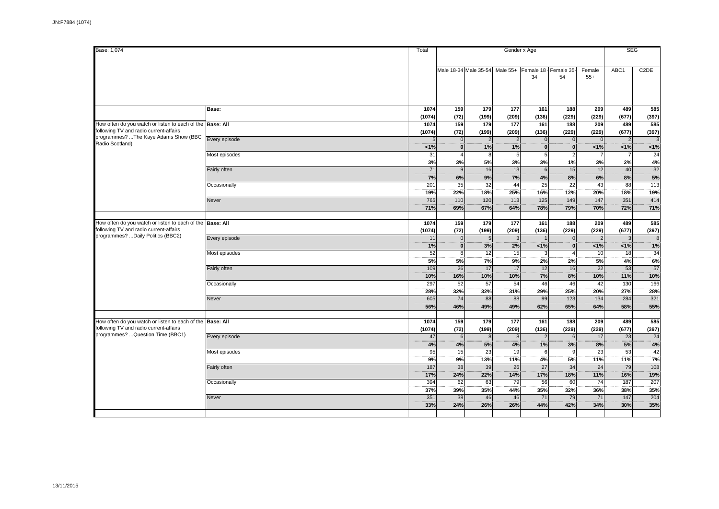| Base: 1,074                                                                                                                              |                       | Total             |                              |                                                     |                     | Gender x Age         |                                  |                           |                      | <b>SEG</b>        |
|------------------------------------------------------------------------------------------------------------------------------------------|-----------------------|-------------------|------------------------------|-----------------------------------------------------|---------------------|----------------------|----------------------------------|---------------------------|----------------------|-------------------|
|                                                                                                                                          |                       |                   |                              | Male 18-34 Male 35-54 Male 55+ Female 18 Female 35- |                     | 34                   | 54                               | Female<br>$55+$           | ABC1                 | C <sub>2</sub> DE |
|                                                                                                                                          | Base:                 | 1074<br>(1074)    | 159<br>(72)                  | 179<br>(199)                                        | 177<br>(209)        | 161<br>(136)         | 188<br>(229)                     | 209<br>(229)              | 489<br>(677)         | 585<br>(397)      |
| How often do you watch or listen to each of the Base: All<br>following TV and radio current-affairs                                      |                       | 1074<br>(1074)    | 159<br>(72)                  | 179<br>(199)                                        | 177<br>(209)        | 161<br>(136)         | 188<br>(229)                     | 209<br>(229)              | 489<br>(677)         | 585<br>(397)      |
| programmes? The Kaye Adams Show (BBC<br>Radio Scotland)                                                                                  | Every episode         | 1%                | $\mathbf{0}$<br>$\mathbf{0}$ | 2<br>1%                                             | $\mathcal{P}$<br>1% | $\Omega$<br>$\bf{0}$ | $\Omega$<br>$\bf{0}$             | 1%                        | $\overline{2}$<br>1% | 1%                |
|                                                                                                                                          | Most episodes         | 31<br>3%          | $\overline{4}$<br>3%         | 8<br>5%                                             | 5<br>3%             | 5<br>3%              | 1%                               | 3%                        | 7<br>2%              | 24<br>4%          |
|                                                                                                                                          | Fairly often          | 71<br>7%          | 9<br>6%                      | 16<br>9%                                            | 13<br>7%            | 6<br>4%              | 15<br>8%                         | 12<br>6%                  | 40<br>8%             | 32<br>5%          |
|                                                                                                                                          | Occasionally<br>Never | 201<br>19%<br>765 | 35<br>22%<br>110             | 32<br>18%<br>120                                    | 44<br>25%<br>113    | 25<br>16%<br>125     | $\overline{22}$<br>12%<br>149    | 43<br>20%<br>147          | 88<br>18%<br>351     | 113<br>19%<br>414 |
|                                                                                                                                          |                       | 71%               | 69%                          | 67%                                                 | 64%                 | 78%                  | 79%                              | 70%                       | 72%                  | 71%               |
| How often do you watch or listen to each of the Base: All<br>following TV and radio current-affairs<br>programmes? Daily Politics (BBC2) |                       | 1074<br>(1074)    | 159<br>(72)                  | 179<br>(199)                                        | 177<br>(209)        | 161<br>(136)         | 188<br>(229)                     | 209<br>(229)              | 489<br>(677)         | 585<br>(397)      |
|                                                                                                                                          | Every episode         | 11<br>1%          | $\mathbf{0}$<br> 0           | 5 <sub>5</sub><br>3%                                | 3<br>2%             | 1%                   | $\overline{0}$<br>$\overline{0}$ | $\overline{2}$<br>$< 1\%$ | 3<br>1%              | 8<br>1%           |
|                                                                                                                                          | Most episodes         | 52<br>5%          | 8 <sup>1</sup><br>5%         | 12<br>7%                                            | 15<br>9%            | 3<br>2%              | $\overline{4}$<br>2%             | 10<br>5%                  | 18<br>4%             | 34<br>6%          |
|                                                                                                                                          | Fairly often          | 109<br>10%        | 26<br>16%                    | 17<br>10%                                           | 17<br>10%           | 12<br>7%             | 16<br>8%                         | 22<br>10%                 | 53<br>11%            | 57<br>10%         |
|                                                                                                                                          | Occasionally          | 297<br>28%        | 52<br>32%                    | 57<br>32%                                           | 54<br>31%           | 46<br>29%            | 46<br>25%                        | 42<br>20%                 | 130<br>27%           | 166<br>28%        |
|                                                                                                                                          | Never                 | 605<br>56%        | 74<br>46%                    | 88<br>49%                                           | 88<br>49%           | 99<br>62%            | 123<br>65%                       | 134<br>64%                | 284<br>58%           | 321<br>55%        |
| How often do you watch or listen to each of the Base: All<br>following TV and radio current-affairs                                      |                       | 1074<br>(1074)    | 159<br>(72)                  | 179<br>(199)                                        | 177<br>(209)        | 161<br>(136)         | 188<br>(229)                     | 209<br>(229)              | 489<br>(677)         | 585<br>(397)      |
| programmes? Question Time (BBC1)                                                                                                         | Every episode         | 47<br>4%          | 6<br>4%                      | 8 <sup>1</sup><br>5%                                | $\mathbf{8}$<br>4%  | $\mathcal{P}$<br>1%  | 6<br>3%                          | 17<br>8%                  | 23<br>5%             | 24<br>4%          |
|                                                                                                                                          | Most episodes         | 95<br>9%          | 15<br>9%                     | 23<br>13%                                           | 19<br>11%           | 6<br>4%              | 9<br>5%                          | 23<br>11%                 | 53<br>11%            | 42<br>7%          |
|                                                                                                                                          | Fairly often          | 187<br>17%        | 38<br>24%                    | 39<br>22%                                           | 26<br>14%           | 27<br>17%            | 34<br>18%                        | 24<br>11%                 | 79<br>16%            | 108<br>19%        |
|                                                                                                                                          | Occasionally          | 394<br>37%        | 62<br>39%                    | 63<br>35%                                           | 79<br>44%           | 56<br>35%            | 60<br>32%                        | 74<br>36%                 | 187<br>38%           | 207<br>35%        |
|                                                                                                                                          | Never                 | 351<br>33%        | 38<br>24%                    | 46<br>26%                                           | 46<br>26%           | 71<br>44%            | 79<br>42%                        | 71<br>34%                 | 147<br>30%           | 204<br>35%        |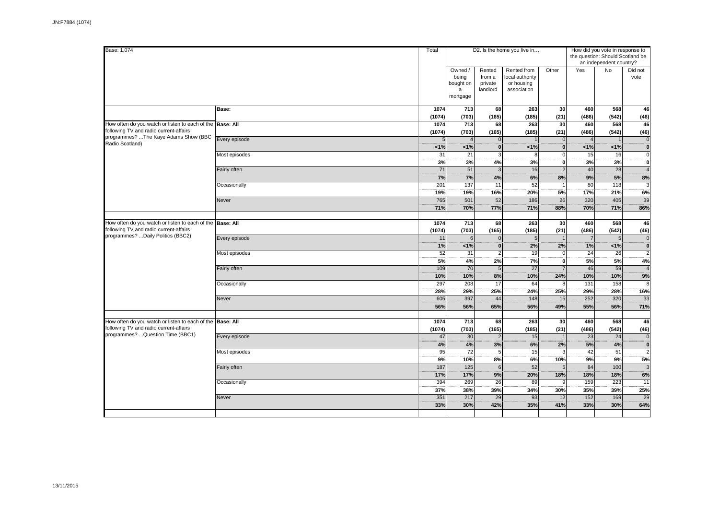| Base: 1,074                                                                                         |                  | Total                 |                                                |                                         | D2. Is the home you live in                                 |                            | How did you vote in response to<br>the question: Should Scotland be | an independent country?  |                        |
|-----------------------------------------------------------------------------------------------------|------------------|-----------------------|------------------------------------------------|-----------------------------------------|-------------------------------------------------------------|----------------------------|---------------------------------------------------------------------|--------------------------|------------------------|
|                                                                                                     |                  |                       | Owned /<br>being<br>bought on<br>a<br>mortgage | Rented<br>from a<br>private<br>landlord | Rented from<br>local authority<br>or housing<br>association | Other                      | Yes                                                                 | <b>No</b>                | Did not<br>vote        |
|                                                                                                     | Base:            | 1074<br>(1074)        | 713<br>(703)                                   | 68<br>(165)                             | 263<br>(185)                                                | 30<br>(21)                 | 460<br>(486)                                                        | 568<br>(542)             | 46<br>(46)             |
| How often do you watch or listen to each of the Base: All<br>following TV and radio current-affairs |                  | 1074<br>(1074)        | 713<br>(703)                                   | 68<br>(165)                             | 263<br>(185)                                                | 30<br>(21)                 | 460<br>(486)                                                        | 568<br>(542)             | 46<br>(46)             |
| programmes? The Kaye Adams Show (BBC<br>Radio Scotland)                                             | Every episode    | 5<br>1%               | $\overline{4}$<br>1%                           | $\mathbf 0$<br>$\dddot{\mathbf{o}}$     | 1%                                                          | $\Omega$<br>$\mathbf{0}$   | 1%                                                                  | 1%                       | $\overline{0}$<br>Ö    |
|                                                                                                     | Most episodes    | 31<br>3%              | 21<br>3%                                       | 3<br>4%                                 | 8<br>3%                                                     | $\Omega$<br>0              | 15<br>3%                                                            | 16<br>3%                 | $\overline{0}$<br>ö    |
|                                                                                                     | Fairly often     | 71<br>7%              | 51<br>7%                                       | 3<br>4%                                 | 16<br>6%                                                    | $\overline{2}$<br>8%       | 40<br>9%                                                            | 28<br>5%                 | $\overline{4}$<br>8%   |
|                                                                                                     | Occasionally     | 201<br>19%            | 137<br>19%                                     | 11<br>16%                               | 52<br>20%                                                   | 5%                         | 80<br>17%                                                           | 118<br>21%               | E.<br>6%               |
|                                                                                                     | Never            | 765<br>71%            | 501<br>70%                                     | 52<br>77%                               | 186<br>71%                                                  | 26<br>88%                  | 320<br>70%                                                          | 405<br>71%               | 39<br>86%              |
| How often do you watch or listen to each of the Base: All<br>following TV and radio current-affairs |                  | 1074<br>(1074)        | 713<br>(703)                                   | 68<br>(165)                             | 263<br>(185)                                                | 30<br>(21)                 | 460<br>(486)                                                        | 568<br>(542)             | 46<br>(46)             |
| programmes? Daily Politics (BBC2)                                                                   | Every episode    | 11<br>1%              | $6\overline{6}$<br>1%                          | $\mathbf{0}$<br>$\mathbf{0}$            | $\overline{5}$<br>2%                                        | 2%                         | $\overline{7}$<br>1%                                                | $5\overline{5}$<br>1%    | $\overline{0}$<br>ö    |
|                                                                                                     | Most episodes    | $\overline{52}$<br>5% | 31<br>4%                                       | $\overline{2}$<br>2%                    | 19<br>7%                                                    | $\mathbf 0$<br>$\mathbf 0$ | $\overline{24}$<br>5%                                               | 26<br>5%                 | $\overline{2}$<br>4%   |
|                                                                                                     | Fairly often     | 109<br>10%            | 70<br>10%                                      | 5<br>8%                                 | 27<br>10%                                                   | $\overline{7}$<br>24%      | 46<br>10%                                                           | 59<br>10%                | $\overline{4}$<br>9%   |
|                                                                                                     | Occasionally     | 297<br>28%            | 208<br>29%                                     | 17<br>25%                               | 64<br>24%                                                   | 8<br>25%                   | 131<br>29%                                                          | 158<br>28%               | $\overline{8}$<br>16%  |
|                                                                                                     | Never            | 605<br>56%            | 397<br>56%                                     | 44<br>65%                               | 148<br>56%                                                  | 15<br>49%                  | 252<br>55%                                                          | 320<br>56%               | 33<br>71%              |
| How often do you watch or listen to each of the<br>following TV and radio current-affairs           | <b>Base: All</b> | 1074                  | 713                                            | 68                                      | 263                                                         | 30                         | 460                                                                 | 568                      | 46                     |
| programmes?  Question Time (BBC1)                                                                   | Every episode    | (1074)<br>47          | (703)<br>30                                    | (165)<br>$\overline{2}$                 | (185)<br>15                                                 | (21)                       | (486)<br>$\overline{23}$                                            | (542)<br>$\overline{24}$ | (46)<br>$\overline{0}$ |
|                                                                                                     | Most episodes    | 4%<br>$\overline{95}$ | 4%<br>$\overline{72}$                          | 3%<br>5                                 | 6%<br>$\overline{15}$                                       | 2%<br>3                    | 5%<br>42                                                            | 4%<br>$\overline{51}$    | ö<br>$\overline{2}$    |
|                                                                                                     | Fairly often     | 9%<br>187<br>17%      | 10%<br>125<br>17%                              | 8%<br>6<br>9%                           | 6%<br>52<br>20%                                             | 10%<br>18%                 | 9%<br>84<br>18%                                                     | 9%<br>100<br>18%         | 5%<br>-3<br>6%         |
|                                                                                                     | Occasionally     | 394<br>37%            | 269<br>38%                                     | 26<br>39%                               | 89<br>34%                                                   | 30%                        | 159<br>35%                                                          | $\overline{223}$<br>39%  | 11<br>25%              |
|                                                                                                     | Never            | 351<br>33%            | 217<br>30%                                     | 29<br>42%                               | 93<br>35%                                                   | 12<br>41%                  | 152<br>33%                                                          | 169<br>30%               | 29<br>64%              |
|                                                                                                     |                  |                       |                                                |                                         |                                                             |                            |                                                                     |                          |                        |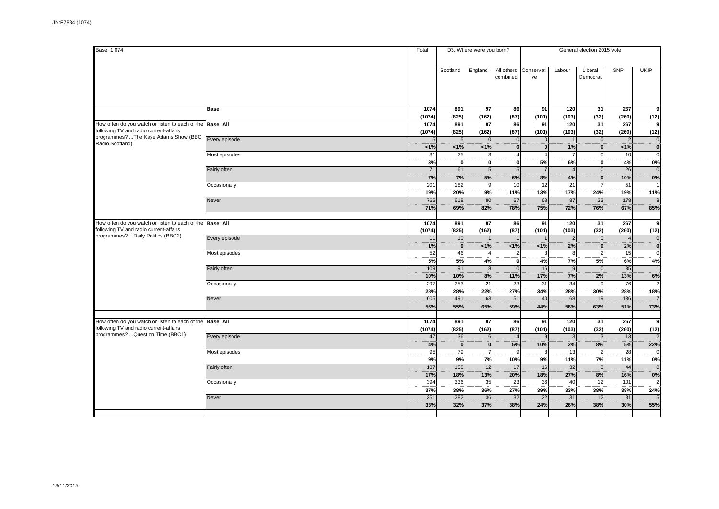| Base: 1,074                                                                                                                              |                               | Total                | D3. Where were you born? |                                      |                                      |                             | General election 2015 vote |                                            |                            |                                        |
|------------------------------------------------------------------------------------------------------------------------------------------|-------------------------------|----------------------|--------------------------|--------------------------------------|--------------------------------------|-----------------------------|----------------------------|--------------------------------------------|----------------------------|----------------------------------------|
|                                                                                                                                          |                               |                      | Scotland                 | England                              | All others<br>combined               | Conservati<br>ve            | Labour                     | Liberal<br>Democrat                        | SNP                        | <b>UKIP</b>                            |
|                                                                                                                                          | Base:                         | 1074<br>(1074)       | 891<br>(825)             | 97<br>(162)                          | 86<br>(87)                           | 91<br>(101)                 | 120<br>(103)               | 31<br>(32)                                 | 267<br>(260)               | 9                                      |
| How often do you watch or listen to each of the Base: All<br>following TV and radio current-affairs                                      |                               | 1074<br>(1074)       | 891<br>(825)             | 97<br>(162)                          | 86<br>(87)                           | 91<br>(101)                 | 120<br>(103)               | 31<br>(32)                                 | 267<br>(260)               | (12)<br>9<br>(12)                      |
| programmes? The Kaye Adams Show (BBC<br>Radio Scotland)                                                                                  | Every episode                 | < 1%                 | $5\phantom{.0}$<br>1%    | $\mathsf 0$<br>1%                    | $\mathbf 0$                          | $\mathbf{0}$                | 1%                         | $\mathbf{0}$<br>$\mathbf{0}$               | $\overline{2}$<br>1%       | $\overline{0}$<br>$\dddot{\mathbf{0}}$ |
|                                                                                                                                          | Most episodes                 | 31<br>3%             | 25<br>$\mathbf{0}$       | 3<br>$\mathbf{0}$                    | $\overline{A}$<br>$\Omega$           | 5%                          | 6%                         | $\mathbf 0$<br>$\Omega$                    | 10<br>4%                   | $\Omega$<br>0%                         |
|                                                                                                                                          | Fairly often                  | 71<br>7%<br>201      | 61<br>7%<br>182          | 5<br>5%<br>$\overline{9}$            | $\overline{5}$<br>6%<br>10           | 8%<br>12                    | 4%<br>$\overline{21}$      | $\Omega$<br>$\mathbf{0}$<br>$\overline{7}$ | 26<br>10%<br>51            | $\Omega$<br>0%                         |
|                                                                                                                                          | Occasionally<br>Never         | 19%<br>765           | 20%<br>618               | 9%<br>80                             | 11%<br>67                            | 13%<br>68                   | 17%<br>87                  | 24%<br>23                                  | 19%<br>178                 | 11%<br>$\mathcal{R}$                   |
|                                                                                                                                          |                               | 71%                  | 69%                      | 82%                                  | 78%                                  | 75%                         | 72%                        | 76%                                        | 67%                        | 85%                                    |
| How often do you watch or listen to each of the Base: All<br>following TV and radio current-affairs<br>programmes? Daily Politics (BBC2) |                               | 1074<br>(1074)       | 891<br>(825)             | 97<br>(162)                          | 86<br>(87)                           | 91<br>(101)                 | 120<br>(103)               | 31<br>(32)                                 | 267<br>(260)               | 9<br>(12)                              |
|                                                                                                                                          | Every episode                 | 11<br>1%             | 10<br>$\mathbf 0$<br>46  | $\mathbf{1}$<br>1%<br>$\overline{4}$ | 1%                                   | 1%                          | $\overline{2}$<br>2%       | $\overline{0}$<br>$\bf{0}$                 | $\overline{4}$<br>2%<br>15 | $\mathbf 0$<br>Ö<br>ō                  |
|                                                                                                                                          | Most episodes<br>Fairly often | 52<br>5%<br>109      | 5%<br>91                 | 4%<br>8                              | $\overline{2}$<br>$\mathbf{0}$<br>10 | 3<br>4%<br>16               | 8<br>7%<br>9               | $\overline{2}$<br>5%<br>$\overline{0}$     | 6%<br>35                   | 4%                                     |
|                                                                                                                                          | Occasionally                  | 10%<br>297           | 10%<br>253               | 8%<br>21                             | 11%<br>23                            | 17%<br>31                   | 7%<br>34                   | 2%<br>9                                    | 13%<br>76                  | 6%                                     |
|                                                                                                                                          | Never                         | 28%<br>605           | 28%<br>491               | 22%<br>63                            | 27%<br>51                            | 34%<br>40                   | 28%<br>68                  | 30%<br>19                                  | 28%<br>136                 | 18%                                    |
|                                                                                                                                          |                               | 56%                  | 55%                      | 65%                                  | 59%                                  | 44%                         | 56%                        | 63%                                        | 51%                        | 73%                                    |
| How often do you watch or listen to each of the Base: All<br>following TV and radio current-affairs<br>programmes? Question Time (BBC1)  | Every episode                 | 1074<br>(1074)<br>47 | 891<br>(825)<br>36       | 97<br>(162)<br>$6\phantom{1}$        | 86<br>(87)                           | 91<br>(101)<br>$\mathsf{Q}$ | 120<br>(103)<br>3          | 31<br>(32)<br>$\mathbf{3}$                 | 267<br>(260)<br>13         | 9<br>(12)                              |
|                                                                                                                                          | Most episodes                 | 4%<br>95             | $\mathbf{0}$<br>79       | $\mathbf{0}$<br>$\overline{7}$       | 5%<br>$\mathbf{g}$                   | 10%<br>8                    | 2%<br>13                   | 8%<br>$\overline{2}$                       | 5%<br>28                   | 22%                                    |
|                                                                                                                                          | Fairly often                  | 9%<br>187            | 9%<br>158                | 7%<br>12                             | 10%<br>17                            | 9%<br>16                    | 11%<br>32                  | 7%<br>$\overline{3}$                       | 11%<br>44                  | 0%<br>$\Omega$                         |
|                                                                                                                                          | Occasionally                  | 17%<br>394           | 18%<br>336               | 13%<br>35                            | 20%<br>23                            | 18%<br>36                   | 27%<br>40                  | 8%<br>12                                   | 16%<br>101                 | 0%                                     |
|                                                                                                                                          | Never                         | 37%<br>351<br>33%    | 38%<br>282<br>32%        | 36%<br>36<br>37%                     | 27%<br>32<br>38%                     | 39%<br>22<br>24%            | 33%<br>31<br>26%           | 38%<br>12<br>38%                           | 38%<br>81<br>30%           | 24%<br>5<br>55%                        |
|                                                                                                                                          |                               |                      |                          |                                      |                                      |                             |                            |                                            |                            |                                        |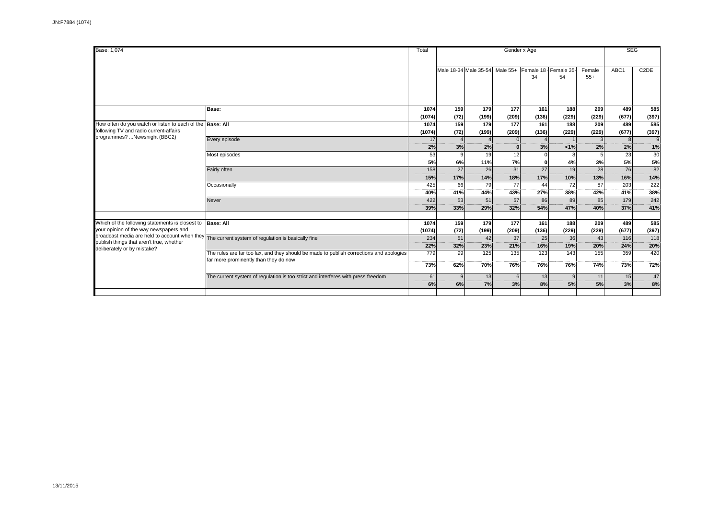| Base: 1,074                                                                                         | Gender x Age<br>Total                                                                                                            |                |              |                       |                      |                |                              | <b>SEG</b>      |                       |                   |
|-----------------------------------------------------------------------------------------------------|----------------------------------------------------------------------------------------------------------------------------------|----------------|--------------|-----------------------|----------------------|----------------|------------------------------|-----------------|-----------------------|-------------------|
|                                                                                                     |                                                                                                                                  |                |              | Male 18-34 Male 35-54 | Male $55+$           | 34             | Female 18   Female 35-<br>54 | Female<br>$55+$ | ABC1                  | C <sub>2</sub> DE |
|                                                                                                     | Base:                                                                                                                            | 1074<br>(1074) | 159<br>(72)  | 179<br>(199)          | 177<br>(209)         | 161<br>(136)   | 188<br>(229)                 | 209<br>(229)    | 489<br>(677)          | 585<br>(397)      |
| How often do you watch or listen to each of the Base: All<br>following TV and radio current-affairs |                                                                                                                                  | 1074<br>(1074) | 159<br>(72)  | 179<br>(199)          | 177<br>(209)         | 161<br>(136)   | 188<br>(229)                 | 209<br>(229)    | 489<br>(677)          | 585<br>(397)      |
| programmes? Newsnight (BBC2)                                                                        | Every episode                                                                                                                    | 17<br>2%       | 3%           | $\Delta$<br>2%        | $\Omega$<br>$\Omega$ | $\Delta$<br>3% | $\vert$ 1<br>1%              | 2%              | 8 <sup>1</sup><br>2%  | 9<br>1%           |
|                                                                                                     | Most episodes                                                                                                                    | 53<br>5%       | 9<br>6%      | 19<br>11%             | 12<br>7%             | 0l             | 8<br>4%                      | 3%              | $\overline{23}$<br>5% | 30<br>5%          |
|                                                                                                     | Fairly often                                                                                                                     | 158<br>15%     | 27<br>17%    | 26<br>14%             | 31<br>18%            | 27<br>17%      | 19<br>10%                    | 28<br>13%       | 76<br>16%             | 82<br>14%         |
|                                                                                                     | Occasionally                                                                                                                     | 425<br>40%     | 66<br>41%    | 79<br>44%             | 77<br>43%            | 44<br>27%      | 72<br>38%                    | 87<br>42%       | 203<br>41%            | 222<br>38%        |
|                                                                                                     | Never                                                                                                                            | 422<br>39%     | 53<br>33%    | 51<br>29%             | 57<br>32%            | 86<br>54%      | 89<br>47%                    | 85<br>40%       | 179<br>37%            | 242<br>41%        |
| Which of the following statements is closest to<br>your opinion of the way newspapers and           | <b>Base: All</b>                                                                                                                 | 1074<br>(1074) | 159<br>(72)  | 179<br>(199)          | 177<br>(209)         | 161<br>(136)   | 188<br>(229)                 | 209<br>(229)    | 489<br>(677)          | 585<br>(397)      |
| publish things that aren't true, whether<br>deliberately or by mistake?                             | broadcast media are held to account when they The current system of regulation is basically fine                                 | 234<br>22%     | 51<br>32%    | 42<br>23%             | 37<br>21%            | 25<br>16%      | 36<br>19%                    | 43<br>20%       | 116<br>24%            | 118<br>20%        |
|                                                                                                     | The rules are far too lax, and they should be made to publish corrections and apologies<br>far more prominently than they do now | 779<br>73%     | 99<br>62%    | 125<br>70%            | 135<br>76%           | 123<br>76%     | 143<br>76%                   | 155<br>74%      | 359<br>73%            | 420<br>72%        |
|                                                                                                     | The current system of regulation is too strict and interferes with press freedom                                                 | 61             | $\mathbf{Q}$ | 13                    | 6                    | 13             | $\overline{9}$               | 11              | 15                    | 47                |
|                                                                                                     |                                                                                                                                  | 6%             | 6%           | 7%                    | 3%                   | 8%             | 5%                           | 5%              | 3%                    | 8%                |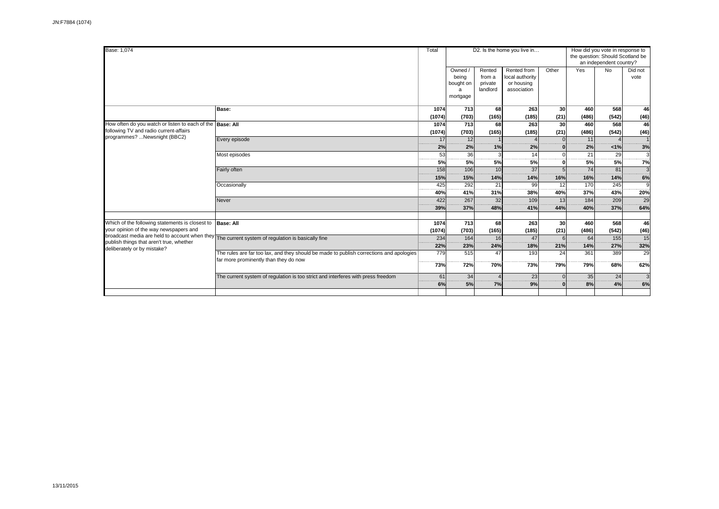| Base: 1,074                                                                             |                                                                                         |        | D2. Is the home you live in<br>Total |          |                           |          |       |                                  | How did you vote in response to |  |  |
|-----------------------------------------------------------------------------------------|-----------------------------------------------------------------------------------------|--------|--------------------------------------|----------|---------------------------|----------|-------|----------------------------------|---------------------------------|--|--|
|                                                                                         |                                                                                         |        |                                      |          |                           |          |       | the question: Should Scotland be |                                 |  |  |
|                                                                                         |                                                                                         |        |                                      |          |                           |          |       | an independent country?          |                                 |  |  |
|                                                                                         |                                                                                         |        | Owned /                              | Rented   | Rented from               | Other    | Yes   | <b>No</b>                        | Did not                         |  |  |
|                                                                                         |                                                                                         |        | being                                | from a   | local authority           |          |       |                                  | vote                            |  |  |
|                                                                                         |                                                                                         |        | bought on                            | private  | or housing<br>association |          |       |                                  |                                 |  |  |
|                                                                                         |                                                                                         |        | mortgage                             | landlord |                           |          |       |                                  |                                 |  |  |
|                                                                                         |                                                                                         |        |                                      |          |                           |          |       |                                  |                                 |  |  |
|                                                                                         | Base:                                                                                   | 1074   | 713                                  | 68       | 263                       | 30       | 460   | 568                              | 46                              |  |  |
|                                                                                         |                                                                                         | (1074) | (703)                                | (165)    | (185)                     | (21)     | (486) | (542)                            | (46)                            |  |  |
| How often do you watch or listen to each of the                                         | <b>Base: All</b>                                                                        | 1074   | 713                                  | 68       | 263                       | 30       | 460   | 568                              | 46                              |  |  |
| following TV and radio current-affairs                                                  |                                                                                         | (1074) | (703)                                | (165)    | (185)                     | (21)     | (486) | (542)                            | (46)                            |  |  |
| programmes? Newsnight (BBC2)                                                            | Every episode                                                                           | 17     | 12                                   |          | $\Delta$                  | $\Omega$ | 11    | $\overline{A}$                   |                                 |  |  |
|                                                                                         |                                                                                         | 2%     | 2%                                   | 1%       | 2%                        |          | 2%    | $< 1\%$                          | 3%                              |  |  |
|                                                                                         | Most episodes                                                                           | 53     | 36                                   | 3        | 14                        |          | 21    | 29                               | 3<br>                           |  |  |
|                                                                                         |                                                                                         | 5%     | 5%                                   | 5%       | 5%                        |          | 5%    | 5%                               | 7%                              |  |  |
|                                                                                         | Fairly often                                                                            | 158    | 106                                  | 10       | 37                        |          | 74    | 81                               | $\mathbf{3}$                    |  |  |
|                                                                                         |                                                                                         | 15%    | 15%                                  | 14%      | 14%                       | 16%      | 16%   | 14%                              | 6%                              |  |  |
|                                                                                         | Occasionally                                                                            | 425    | 292                                  | 21       | 99                        | 12       | 170   | 245                              | 9                               |  |  |
|                                                                                         |                                                                                         | 40%    | 41%                                  | 31%      | 38%                       | 40%      | 37%   | 43%                              | 20%                             |  |  |
|                                                                                         | Never                                                                                   | 422    | 267                                  | 32       | 109                       | 13       | 184   | 209                              | 29                              |  |  |
|                                                                                         |                                                                                         | 39%    | 37%                                  | 48%      | 41%                       | 44%      | 40%   | 37%                              | 64%                             |  |  |
|                                                                                         |                                                                                         |        |                                      |          |                           |          |       |                                  |                                 |  |  |
| Which of the following statements is closest to                                         | <b>Base: All</b>                                                                        | 1074   | 713                                  | 68       | 263                       | 30       | 460   | 568                              | 46                              |  |  |
| your opinion of the way newspapers and<br>broadcast media are held to account when they |                                                                                         | (1074) | (703)                                | (165)    | (185)                     | (21)     | (486) | (542)                            | (46)                            |  |  |
| publish things that aren't true, whether                                                | The current system of regulation is basically fine                                      | 234    | 164                                  | 16       | 47                        |          | 64    | 155                              | 15                              |  |  |
| deliberately or by mistake?                                                             |                                                                                         | 22%    | 23%                                  | 24%      | 18%                       | 21%      | 14%   | 27%                              | 32%                             |  |  |
|                                                                                         | The rules are far too lax, and they should be made to publish corrections and apologies | 779    | 515                                  | 47       | 193                       | 24       | 361   | 389                              | 29                              |  |  |
|                                                                                         | far more prominently than they do now                                                   | 73%    | 72%                                  | 70%      | 73%                       | 79%      | 79%   | 68%                              | 62%                             |  |  |
|                                                                                         |                                                                                         |        |                                      |          |                           |          |       |                                  |                                 |  |  |
|                                                                                         | The current system of regulation is too strict and interferes with press freedom        | 61     | 34                                   |          | 23                        |          | 35    | 24                               | 3                               |  |  |
|                                                                                         |                                                                                         | 6%     | 5%                                   | 7%       | 9%                        |          | 8%    | 4%                               | 6%                              |  |  |
|                                                                                         |                                                                                         |        |                                      |          |                           |          |       |                                  |                                 |  |  |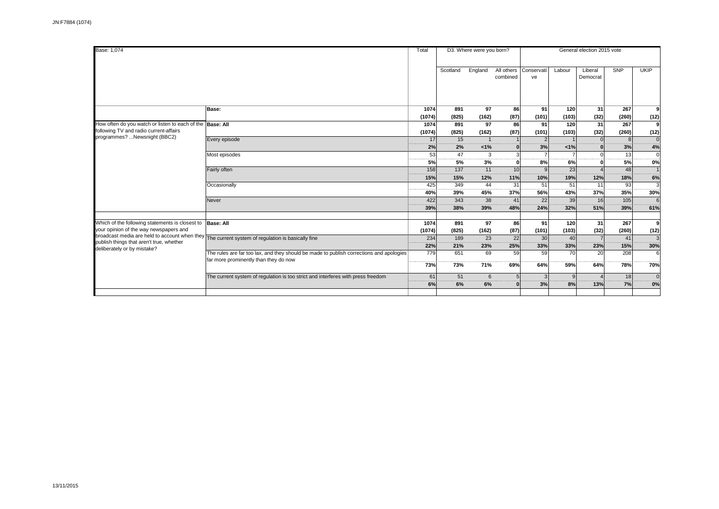| Base: 1,074                                                                                         |                                                                                                                                  |                | D3. Where were you born?<br>Total |                          |                        | General election 2015 vote |                      |                     |                       |                     |  |
|-----------------------------------------------------------------------------------------------------|----------------------------------------------------------------------------------------------------------------------------------|----------------|-----------------------------------|--------------------------|------------------------|----------------------------|----------------------|---------------------|-----------------------|---------------------|--|
|                                                                                                     |                                                                                                                                  |                | Scotland                          | England                  | All others<br>combined | Conservati<br>ve           | Labour               | Liberal<br>Democrat | SNP                   | <b>UKIP</b>         |  |
|                                                                                                     | Base:                                                                                                                            | 1074<br>(1074) | 891<br>(825)                      | 97<br>(162)              | 86<br>(87)             | 91<br>(101)                | 120<br>(103)         | 31<br>(32)          | 267<br>(260)          | 9<br>(12)           |  |
| How often do you watch or listen to each of the Base: All<br>following TV and radio current-affairs |                                                                                                                                  | 1074<br>(1074) | 891<br>(825)                      | 97<br>(162)              | 86<br>(87)             | 91<br>(101)                | 120<br>(103)         | 31<br>(32)          | 267<br>(260)          | (12)                |  |
| programmes? Newsnight (BBC2)                                                                        | Every episode                                                                                                                    | 17<br>2%       | 15<br>2%                          | $\overline{1}$<br>$<1\%$ | $\mathbf{0}$           | 2 <sup>1</sup><br>3%       | $\vert$ 1<br>$< 1\%$ | $\Omega$            | 8 <sup>1</sup><br>3%  | $\Omega$<br>4%      |  |
|                                                                                                     | Most episodes                                                                                                                    | 53<br>5%       | 47<br>5%                          | 3<br>3%                  | $\Omega$               | 8%                         | 6%                   |                     | $\overline{13}$<br>5% | $\Omega$<br>0%      |  |
|                                                                                                     | Fairly often                                                                                                                     | 158<br>15%     | 137<br>15%                        | 11<br>12%                | 10<br>11%              | 9 <sub>l</sub><br>10%      | 23<br>19%            | 12%                 | 48<br>18%             | 6%                  |  |
|                                                                                                     | Occasionally                                                                                                                     | 425<br>40%     | 349<br>39%                        | 44<br>45%                | 31<br><br>37%          | 51<br>56%                  | 51<br>43%            | 11<br>37%           | 93<br>35%             | $\mathbf{a}$<br>30% |  |
|                                                                                                     | Never                                                                                                                            | 422<br>39%     | 343<br>38%                        | 38<br>39%                | 41<br>48%              | 22<br>24%                  | 39<br>32%            | 16<br>51%           | 105<br>39%            | 6<br>61%            |  |
| Which of the following statements is closest to<br>your opinion of the way newspapers and           | <b>Base: All</b>                                                                                                                 | 1074<br>(1074) | 891<br>(825)                      | 97<br>(162)              | 86<br>(87)             | 91<br>(101)                | 120<br>(103)         | 31<br>(32)          | 267<br>(260)          | 9<br>(12)           |  |
| publish things that aren't true, whether<br>deliberately or by mistake?                             | broadcast media are held to account when they The current system of regulation is basically fine                                 | 234<br>22%     | 189<br>21%                        | 23<br>23%                | 22<br>25%              | 30<br>33%                  | 40<br>33%            | 23%                 | 41<br>15%             | 30%                 |  |
|                                                                                                     | The rules are far too lax, and they should be made to publish corrections and apologies<br>far more prominently than they do now | 779<br>73%     | 651<br>73%                        | 69<br>71%                | 59<br>69%              | 59<br>64%                  | 70<br>59%            | 20<br>64%           | 208<br><b>78%</b>     | 6<br>70%            |  |
|                                                                                                     | The current system of regulation is too strict and interferes with press freedom                                                 | 61             | 51                                | 6                        |                        | 3 <sup>l</sup>             | 9                    |                     | 18                    | $\mathbf{0}$        |  |
|                                                                                                     |                                                                                                                                  | 6%             | 6%                                | 6%                       | n                      | 3%                         | 8%                   | 13%                 | 7%                    | 0%                  |  |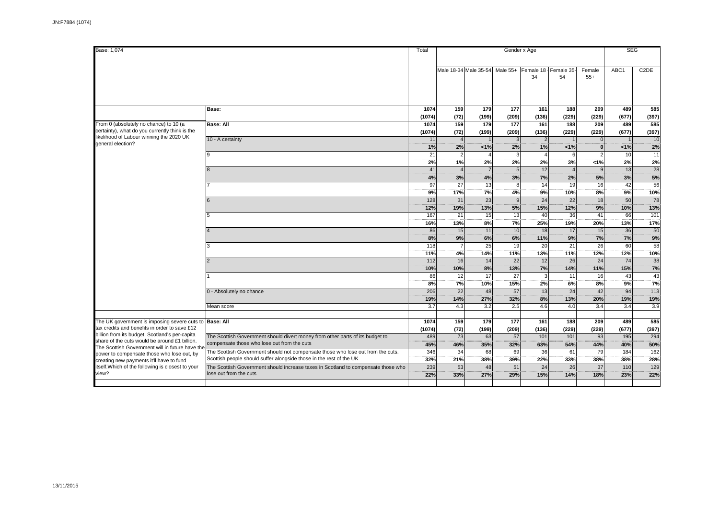| Base: 1,074                                                                                                                                                                                                                                 |                                                                                                                                                        | Total           |                                  |                                |                        | Gender x Age               |                              |                 | <b>SEG</b>             |                             |
|---------------------------------------------------------------------------------------------------------------------------------------------------------------------------------------------------------------------------------------------|--------------------------------------------------------------------------------------------------------------------------------------------------------|-----------------|----------------------------------|--------------------------------|------------------------|----------------------------|------------------------------|-----------------|------------------------|-----------------------------|
|                                                                                                                                                                                                                                             |                                                                                                                                                        |                 |                                  | Male 18-34 Male 35-54 Male 55+ |                        | 34                         | Female 18   Female 35-<br>54 | Female<br>$55+$ | ABC1                   | C <sub>2</sub> DE           |
|                                                                                                                                                                                                                                             |                                                                                                                                                        |                 |                                  |                                |                        |                            |                              |                 |                        |                             |
|                                                                                                                                                                                                                                             | Base:                                                                                                                                                  | 1074<br>(1074)  | 159<br>(72)                      | 179<br>(199)                   | 177<br>(209)           | 161<br>(136)               | 188<br>(229)                 | 209<br>(229)    | 489<br>(677)           | 585<br>(397)                |
| From 0 (absolutely no chance) to 10 (a<br>certainty), what do you currently think is the<br>likelihood of Labour winning the 2020 UK<br>general election?                                                                                   | <b>Base: All</b>                                                                                                                                       | 1074<br>(1074)  | 159<br>(72)                      | 179<br>(199)                   | 177<br>(209)           | 161<br>(136)               | 188<br>(229)                 | 209<br>(229)    | 489<br>(677)           | 585<br>(397)                |
|                                                                                                                                                                                                                                             | 10 - A certainty                                                                                                                                       | 11<br>1%        | $\Delta$<br>2%                   | $\overline{1}$<br>1%           | $\mathbf{3}$<br>2%     | $\overline{2}$<br>1%       | 1%                           | $\Omega$        | 1%                     | 10<br>2%                    |
|                                                                                                                                                                                                                                             |                                                                                                                                                        | 21<br>2%<br>41  | $\overline{2}$<br>1%<br>$\Delta$ | 2%<br>$\overline{7}$           | 2%                     | $\overline{4}$<br>2%<br>12 | 6<br>3%                      | < 1%            | 10<br>2%<br>13         | $\overline{11}$<br>2%<br>28 |
|                                                                                                                                                                                                                                             |                                                                                                                                                        | 4%<br>97        | 3%<br>$\overline{27}$            | 4%<br>13                       | 3%<br>8                | 7%<br>14                   | 2%<br>19                     | 5%<br>16        | 3%<br>42               | 5%<br>56                    |
|                                                                                                                                                                                                                                             |                                                                                                                                                        | 9%<br>128       | 17%<br>31                        | 7%<br>23                       | 4%<br>$\mathbf{Q}$     | 9%<br>24                   | 10%<br>22                    | 8%<br>18        | 9%<br>50               | 10%<br>78                   |
|                                                                                                                                                                                                                                             |                                                                                                                                                        | 12%<br>167      | 19%<br>21                        | 13%<br>15                      | 5%<br>13               | 15%<br>40                  | 12%<br>36                    | 9%<br>41        | 10%<br>66              | 13%<br>101                  |
|                                                                                                                                                                                                                                             |                                                                                                                                                        | 16%<br>86       | 13%<br>15                        | 8%<br>$\overline{11}$          | 7%<br>10               | 25%<br>18                  | 19%<br>17                    | 20%<br>15       | 13%<br>$\overline{36}$ | 17%<br>$\overline{50}$      |
|                                                                                                                                                                                                                                             |                                                                                                                                                        | 8%<br>118       | 9%<br>$\overline{7}$             | 6%<br>25                       | 6%<br>19               | 11%<br>20                  | 9%<br>21                     | 7%<br>26        | 7%<br>60               | 9%<br>58                    |
|                                                                                                                                                                                                                                             |                                                                                                                                                        | 11%<br>112      | 4%<br>16                         | 14%<br>14                      | 11%<br>$\overline{22}$ | 13%<br>12                  | 11%<br>26                    | 12%<br>24       | 12%<br>$\overline{74}$ | 10%<br>38<br>7%             |
|                                                                                                                                                                                                                                             |                                                                                                                                                        | 10%<br>86<br>8% | 10%<br>12<br>7%                  | 8%<br>$\overline{17}$<br>10%   | 13%<br>27<br>15%       | 7%<br>3<br>2%              | 14%<br>11<br>6%              | 11%<br>16<br>8% | 15%<br>43<br>9%        | 43<br>7%                    |
|                                                                                                                                                                                                                                             | 0 - Absolutely no chance                                                                                                                               | 206<br>19%      | $\overline{22}$<br>14%           | 48<br>27%                      | 57<br>32%              | 13<br>8%                   | 24<br>13%                    | 42<br>20%       | 94<br>19%              | 113<br>19%                  |
|                                                                                                                                                                                                                                             | Mean score                                                                                                                                             | 3.7             | 4.3                              | 3.2                            | 2.5                    | 4.6                        | 4.0                          | 3.4             | 3.4                    | 3.9                         |
| The UK government is imposing severe cuts to Base: All<br>tax credits and benefits in order to save £12                                                                                                                                     |                                                                                                                                                        | 1074<br>(1074)  | 159<br>(72)                      | 179<br>(199)                   | 177<br>(209)           | 161<br>(136)               | 188<br>(229)                 | 209<br>(229)    | 489<br>(677)           | 585<br>(397)                |
| billion from its budget. Scotland's per-capita<br>share of the cuts would be around £1 billion.<br>The Scottish Government will in future have th<br>power to compensate those who lose out, by<br>creating new payments it'll have to fund | The Scottish Government should divert money from other parts of its budget to<br>compensate those who lose out from the cuts                           | 489<br>45%      | 73<br>46%                        | 63<br>35%                      | 57<br>32%              | 101<br>63%                 | 101<br>54%                   | 93<br>44%       | 195<br>40%             | 294<br>50%                  |
|                                                                                                                                                                                                                                             | The Scottish Government should not compensate those who lose out from the cuts.<br>Scottish people should suffer alongside those in the rest of the UK | 346<br>32%      | 34<br>21%                        | 68<br>38%                      | 69<br>39%              | 36<br>22%                  | 61<br>33%                    | 79<br>38%       | 184<br>38%             | $\frac{162}{162}$<br>28%    |
| itself. Which of the following is closest to your<br>view?                                                                                                                                                                                  | The Scottish Government should increase taxes in Scotland to compensate those who<br>lose out from the cuts                                            | 239<br>22%      | 53<br>33%                        | 48<br>27%                      | 51<br>29%              | 24<br>15%                  | 26<br>14%                    | 37<br>18%       | 110<br>23%             | 129<br>22%                  |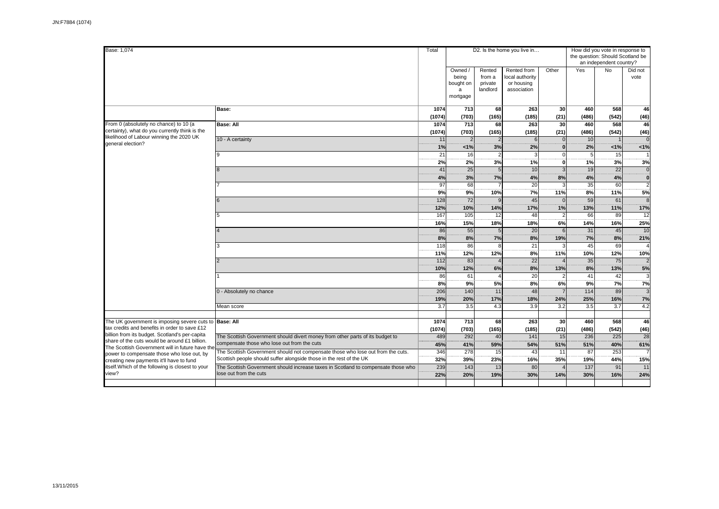| Base: 1,074                                                                                                                                                                                |                                                                                   |                 |                 |                      | D2. Is the home you live in |              | How did you vote in response to |                                  |                      |  |  |
|--------------------------------------------------------------------------------------------------------------------------------------------------------------------------------------------|-----------------------------------------------------------------------------------|-----------------|-----------------|----------------------|-----------------------------|--------------|---------------------------------|----------------------------------|----------------------|--|--|
|                                                                                                                                                                                            |                                                                                   |                 |                 |                      |                             |              |                                 | the question: Should Scotland be |                      |  |  |
|                                                                                                                                                                                            |                                                                                   |                 |                 |                      |                             |              |                                 | an independent country?          |                      |  |  |
|                                                                                                                                                                                            |                                                                                   |                 | Owned /         | Rented               | Rented from                 | Other        | Yes                             | <b>No</b>                        | Did not              |  |  |
|                                                                                                                                                                                            |                                                                                   |                 | being           | from a               | local authority             |              |                                 |                                  | vote                 |  |  |
|                                                                                                                                                                                            |                                                                                   |                 | bought on       | private<br>landlord  | or housing<br>association   |              |                                 |                                  |                      |  |  |
|                                                                                                                                                                                            |                                                                                   |                 | a<br>mortgage   |                      |                             |              |                                 |                                  |                      |  |  |
|                                                                                                                                                                                            |                                                                                   |                 |                 |                      |                             |              |                                 |                                  |                      |  |  |
|                                                                                                                                                                                            | <b>Base:</b>                                                                      | 1074            | 713             | 68                   | 263                         | 30           | 460                             | 568                              | 46                   |  |  |
|                                                                                                                                                                                            |                                                                                   | (1074)          | (703)           | (165)                | (185)                       | (21)         | (486)                           | (542)                            | (46)                 |  |  |
| From 0 (absolutely no chance) to 10 (a                                                                                                                                                     | <b>Base: All</b>                                                                  | 1074            | 713             | 68                   | 263                         | 30           | 460                             | 568                              | 46                   |  |  |
| certainty), what do you currently think is the<br>likelihood of Labour winning the 2020 UK<br>general election?                                                                            |                                                                                   | (1074)          | (703)           | (165)                | (185)                       | (21)         | (486)                           | (542)                            | (46)                 |  |  |
|                                                                                                                                                                                            | 10 - A certainty                                                                  | 11              | $\overline{2}$  | $\overline{2}$       | 6                           | $\Omega$     | 10                              | 1                                | $\Omega$             |  |  |
|                                                                                                                                                                                            |                                                                                   | 1%<br>21        | 1%<br>16        | 3%                   | 2%<br>3                     |              | 2%<br>$\overline{5}$            | 1%<br>15                         | 1%                   |  |  |
|                                                                                                                                                                                            |                                                                                   |                 |                 | $\overline{2}$<br>3% |                             |              |                                 | 3%                               |                      |  |  |
|                                                                                                                                                                                            |                                                                                   | 2%<br>41        | 2%<br>25        | 5                    | 1%<br>10                    | $\mathbf{0}$ | 1%<br>19                        | 22                               | 3%<br>$\overline{0}$ |  |  |
|                                                                                                                                                                                            |                                                                                   | 4%              | 3%              | 7%                   | 4%                          | 8%           | 4%                              | 4%                               | $\mathbf{0}$         |  |  |
|                                                                                                                                                                                            |                                                                                   | $\overline{97}$ | 68              |                      | $\overline{20}$             |              | $\overline{35}$                 | 60                               | $\overline{2}$       |  |  |
|                                                                                                                                                                                            |                                                                                   | 9%              | 9%              | 10%                  | 7%                          | 11%          | 8%                              | 11%                              | 5%                   |  |  |
|                                                                                                                                                                                            |                                                                                   | 128             | 72              | $\mathbf{q}$         | 45                          | $\mathbf{0}$ | 59                              | 61                               | 8                    |  |  |
|                                                                                                                                                                                            |                                                                                   | 12%             | 10%             | 14%                  | 17%                         | 1%           | 13%                             | 11%                              | 17%                  |  |  |
|                                                                                                                                                                                            |                                                                                   | 167             | 105             | 12                   | 48                          |              | 66                              | 89                               | 12                   |  |  |
|                                                                                                                                                                                            |                                                                                   | 16%             | 15%             | 18%                  | 18%                         | 6%           | 14%                             | 16%                              | 25%                  |  |  |
|                                                                                                                                                                                            |                                                                                   | 86              | $\overline{55}$ | 5                    | $\overline{20}$             | 6            | 31                              | 45                               | $\overline{10}$      |  |  |
|                                                                                                                                                                                            |                                                                                   | 8%              | 8%              | 7%                   | 8%                          | 19%          | 7%                              | 8%                               | 21%                  |  |  |
|                                                                                                                                                                                            |                                                                                   | 118             | 86              | 8                    | 21                          |              | 45                              | 69                               | $\prime$             |  |  |
|                                                                                                                                                                                            |                                                                                   | 11%             | 12%             | 12%                  | 8%                          | 11%          | 10%                             | 12%                              | 10%                  |  |  |
|                                                                                                                                                                                            |                                                                                   | 112             | 83              | $\overline{4}$       | $\overline{22}$             |              | 35                              | 75                               | $\overline{2}$       |  |  |
|                                                                                                                                                                                            |                                                                                   | 10%             | 12%             | 6%                   | 8%                          | 13%          | 8%                              | 13%                              | 5%                   |  |  |
|                                                                                                                                                                                            |                                                                                   | 86              | 61              |                      | 20                          |              | 41                              | 42                               | 3                    |  |  |
|                                                                                                                                                                                            |                                                                                   | 8%              | 9%              | 5%                   | 8%                          | 6%           | 9%                              | 7%                               | 7%                   |  |  |
|                                                                                                                                                                                            | 0 - Absolutely no chance                                                          | 206             | 140             | 11                   | 48                          |              | 114                             | 89                               | $\overline{3}$       |  |  |
|                                                                                                                                                                                            |                                                                                   | 19%             | 20%             | 17%                  | 18%                         | 24%          | 25%                             | 16%                              | 7%                   |  |  |
|                                                                                                                                                                                            | Mean score                                                                        | 3.7             | 3.5             | 4.3                  | 3.9                         | 3.2          | 3.5                             | 3.7                              | 4.2                  |  |  |
|                                                                                                                                                                                            |                                                                                   |                 |                 |                      |                             |              |                                 |                                  |                      |  |  |
| The UK government is imposing severe cuts to Base: All<br>tax credits and benefits in order to save £12                                                                                    |                                                                                   | 1074            | 713             | 68<br>(165)          | 263                         | 30           | 460<br>(486)                    | 568<br>(542)                     | 46                   |  |  |
| billion from its budget. Scotland's per-capita                                                                                                                                             | The Scottish Government should divert money from other parts of its budget to     | (1074)<br>489   | (703)<br>292    | 40                   | (185)<br>$141$              | (21)<br>15   | 236                             | 225                              | (46)<br>28           |  |  |
| share of the cuts would be around £1 billion.<br>The Scottish Government will in future have the<br>power to compensate those who lose out, by<br>creating new payments it'll have to fund | compensate those who lose out from the cuts                                       | 45%             | 41%             | 59%                  | 54%                         | 51%          | 51%                             | 40%                              | 61%                  |  |  |
|                                                                                                                                                                                            | The Scottish Government should not compensate those who lose out from the cuts.   | 346             | 278             | $\overline{15}$      | 43                          | 11           | $\overline{87}$                 | 253                              | $\overline{7}$       |  |  |
|                                                                                                                                                                                            | Scottish people should suffer alongside those in the rest of the UK               | 32%             | 39%             | 23%                  | 16%                         | 35%          | 19%                             | 44%                              | 15%                  |  |  |
| itself. Which of the following is closest to your                                                                                                                                          | The Scottish Government should increase taxes in Scotland to compensate those who | 239             | 143             | 13                   | 80                          |              | 137                             | 91                               | 11                   |  |  |
| view?                                                                                                                                                                                      | lose out from the cuts                                                            | 22%             | 20%             | 19%                  | 30%                         | 14%          | 30%                             | 16%                              | 24%                  |  |  |
|                                                                                                                                                                                            |                                                                                   |                 |                 |                      |                             |              |                                 |                                  |                      |  |  |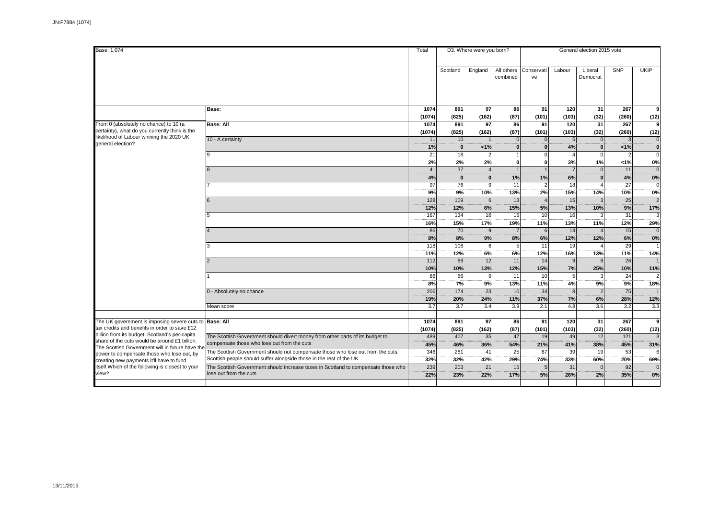| Base: 1,074                                                                                                                                                                                                                                  |                                                                                                                                                        | Total             |                        | D3. Where were you born?      |                        | General election 2015 vote |                             |                            |                        |                 |  |  |
|----------------------------------------------------------------------------------------------------------------------------------------------------------------------------------------------------------------------------------------------|--------------------------------------------------------------------------------------------------------------------------------------------------------|-------------------|------------------------|-------------------------------|------------------------|----------------------------|-----------------------------|----------------------------|------------------------|-----------------|--|--|
|                                                                                                                                                                                                                                              |                                                                                                                                                        |                   | Scotland               | England                       | All others<br>combined | Conservati<br>ve           | Labour                      | Liberal<br>Democrat        | <b>SNP</b>             | <b>UKIP</b>     |  |  |
|                                                                                                                                                                                                                                              | Base:                                                                                                                                                  | 1074<br>(1074)    | 891<br>(825)           | 97<br>(162)                   | 86<br>(87)             | 91<br>(101)                | 120<br>(103)                | 31<br>(32)                 | 267<br>(260)           | 9<br>(12)       |  |  |
| From 0 (absolutely no chance) to 10 (a<br>certainty), what do you currently think is the<br>likelihood of Labour winning the 2020 UK<br>general election?                                                                                    | <b>Base: All</b>                                                                                                                                       | 1074<br>(1074)    | 891<br>(825)           | 97<br>(162)                   | 86<br>(87)             | 91<br>(101)                | 120<br>(103)                | 31<br>(32)                 | 267<br>(260)           | (12)            |  |  |
|                                                                                                                                                                                                                                              | 10 - A certainty                                                                                                                                       | 11<br>1%          | 10<br>$\mathbf{0}$     | $\overline{1}$<br>1%          | $\Omega$               | $\Omega$<br>$\Omega$       | $5\overline{5}$<br>4%       | 0 <br>$\Omega$             | $\overline{3}$<br>1%   | $\Omega$<br>Ö   |  |  |
|                                                                                                                                                                                                                                              |                                                                                                                                                        | 21<br>2%          | 18<br>2%               | 2<br>2%                       | $\mathbf{0}$           | 0'<br>οl                   | $\boldsymbol{\Delta}$<br>3% | $\Omega$<br>1%             | 2<br>< 1%              | $\Omega$<br>0%  |  |  |
|                                                                                                                                                                                                                                              |                                                                                                                                                        | 41<br>4%          | 37<br>$\mathbf{0}$     | $\overline{4}$<br>$\mathbf 0$ | 1%                     | 1%                         | $\overline{7}$<br>6%        | $\Omega$<br>$\Omega$       | 11<br>4%               | $\Omega$<br>0%  |  |  |
|                                                                                                                                                                                                                                              |                                                                                                                                                        | 97<br>9%          | 76<br>9%               | 9<br>10%                      | 11<br>13%              | $\overline{2}$<br>2%       | 18<br>15%                   | 14%                        | 27<br>10%              | $\Omega$<br>0%  |  |  |
|                                                                                                                                                                                                                                              |                                                                                                                                                        | 128<br>12%<br>167 | 109<br>12%<br>134      | 6<br>6%<br>16                 | 13<br>15%              | $\vert$<br>5%<br>10        | 15<br>13%                   | 3 <sup>1</sup><br>10%<br>3 | 25<br>9%<br>31         | 17%             |  |  |
|                                                                                                                                                                                                                                              |                                                                                                                                                        | 16%<br>86         | 15%<br>$\overline{70}$ | 17%<br>9                      | 16<br>19%              | 11%<br>6                   | 16<br>13%<br>14             | 11%                        | 12%<br>$\overline{15}$ | 29%<br>$\Omega$ |  |  |
|                                                                                                                                                                                                                                              |                                                                                                                                                        | 8%<br>118         | 8%<br>108              | 9%<br>6                       | 8%<br>5                | 6%<br>11                   | 12%<br>19                   | 12%                        | 6%<br>29               | 0%              |  |  |
|                                                                                                                                                                                                                                              |                                                                                                                                                        | 11%<br>112        | 12%<br>89              | 6%<br>12                      | 6%<br>11               | 12%<br>14                  | 16%<br>9                    | 13%<br>8 <sup>1</sup>      | 11%<br>26              | 14%             |  |  |
|                                                                                                                                                                                                                                              |                                                                                                                                                        | 10%<br>86         | 10%<br>66              | 13%<br>9                      | 12%<br>11              | 15%<br>10                  | 7%<br>$5\overline{5}$       | 25%<br>$\overline{3}$      | 10%<br>24              | 11%             |  |  |
|                                                                                                                                                                                                                                              | 0 - Absolutely no chance                                                                                                                               | 8%<br>206         | 7%<br>174              | 9%<br>23                      | 13%<br>10              | 11%<br>34                  | 4%<br>$\overline{8}$        | 9%<br>$\overline{2}$       | 9%<br>75               | 18%             |  |  |
|                                                                                                                                                                                                                                              | Mean score                                                                                                                                             | 19%<br>3.7        | 20%<br>3.7             | 24%<br>3.4                    | 11%<br>3.9             | 37%<br>2.1                 | 7%<br>4.8                   | 6%<br>3.6                  | 28%<br>3.2             | 12%<br>3.3      |  |  |
| The UK government is imposing severe cuts to Base: All<br>tax credits and benefits in order to save £12                                                                                                                                      |                                                                                                                                                        | 1074<br>(1074)    | 891<br>(825)           | 97<br>(162)                   | 86<br>(87)             | 91<br>(101)                | 120<br>(103)                | 31<br>(32)                 | 267<br>(260)           | q<br>(12)       |  |  |
| billion from its budget. Scotland's per-capita<br>share of the cuts would be around £1 billion.<br>The Scottish Government will in future have the<br>power to compensate those who lose out, by<br>creating new payments it'll have to fund | The Scottish Government should divert money from other parts of its budget to<br>compensate those who lose out from the cuts                           | 489<br>45%        | 407<br>46%             | 35<br>36%                     | 47<br>54%              | 19<br>21%                  | 49<br>41%                   | 12<br>38%                  | $121$<br>45%           | 31%             |  |  |
|                                                                                                                                                                                                                                              | The Scottish Government should not compensate those who lose out from the cuts.<br>Scottish people should suffer alongside those in the rest of the UK | 346<br>32%        | 281<br>32%             | 41<br>42%                     | 25<br>29%              | 67<br>74%                  | 39<br>33%                   | 19<br>60%                  | 53<br>20%              | 69%             |  |  |
| itself. Which of the following is closest to your<br>view?                                                                                                                                                                                   | The Scottish Government should increase taxes in Scotland to compensate those who<br>lose out from the cuts                                            | 239<br>22%        | 203<br>23%             | 21<br>22%                     | 15<br>17%              | 5<br>5%                    | 31<br>26%                   | $\Omega$<br>2%             | 92<br>35%              | 0%              |  |  |
|                                                                                                                                                                                                                                              |                                                                                                                                                        |                   |                        |                               |                        |                            |                             |                            |                        |                 |  |  |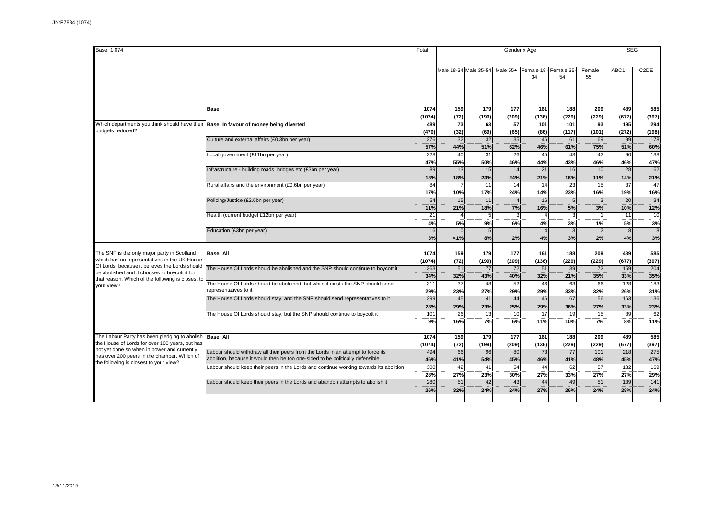| Base: 1,074                                                                                                                                                                                   |                                                                                                                                                                    | Total          |                        |                                |                      | Gender x Age    |                        |                        |                        | <b>SEG</b>           |  |
|-----------------------------------------------------------------------------------------------------------------------------------------------------------------------------------------------|--------------------------------------------------------------------------------------------------------------------------------------------------------------------|----------------|------------------------|--------------------------------|----------------------|-----------------|------------------------|------------------------|------------------------|----------------------|--|
|                                                                                                                                                                                               |                                                                                                                                                                    |                |                        | Male 18-34 Male 35-54 Male 55+ |                      | Female 18<br>34 | Female 35<br>54        | Female<br>$55+$        | ABC <sub>1</sub>       | C <sub>2</sub> DE    |  |
|                                                                                                                                                                                               | Base:                                                                                                                                                              | 1074           | 159                    | 179                            | 177                  | 161             | 188                    | 209                    | 489                    | 585                  |  |
|                                                                                                                                                                                               |                                                                                                                                                                    | (1074)         | (72)                   | (199)                          | (209)                | (136)           | (229)                  | (229)                  | (677)                  | (397)                |  |
| Which departments you think should have their Base: In favour of money being diverted<br>budgets reduced?                                                                                     |                                                                                                                                                                    | 489<br>(470)   | 73<br>(32)             | 63<br>(69)                     | 57<br>(65)           | 101<br>(86)     | 101<br>(117)           | 93<br>(101)            | 195<br>(272)           | 294<br>(198)         |  |
|                                                                                                                                                                                               | Culture and external affairs (£0.3bn per year)                                                                                                                     | 276<br>57%     | 32<br>44%              | 32<br>51%                      | 35<br>62%            | 46<br>46%       | 61<br>61%              | 69<br>75%              | 99<br>51%              | 178<br>60%           |  |
|                                                                                                                                                                                               | Local government (£11bn per year)                                                                                                                                  | 228<br>47%     | 40<br>55%              | 31<br>50%                      | 26<br>46%            | 45<br>44%       | 43<br>43%              | 42<br>46%              | 90<br>46%              | 138<br>47%           |  |
|                                                                                                                                                                                               | Infrastructure - building roads, bridges etc (£3bn per year)                                                                                                       | 89<br>18%      | 13<br>18%              | 15<br>23%                      | 14<br>24%            | 21<br>21%       | 16<br>16%              | 10<br>11%              | 28<br>14%              | 62<br>21%            |  |
|                                                                                                                                                                                               | Rural affairs and the environment (£0.6bn per year)                                                                                                                | 84<br>17%      | $\overline{7}$<br>10%  | 11<br>17%                      | 14<br>24%            | 14<br>14%       | $\overline{23}$<br>23% | 15<br>16%              | $\overline{37}$<br>19% | 47<br>16%            |  |
|                                                                                                                                                                                               | Policing/Justice (£2.6bn per year)                                                                                                                                 | 54<br>11%      | 15<br>21%              | 11<br>18%                      | $\overline{4}$<br>7% | 16<br>16%       | 5<br>5%                | 3%                     | 20<br>10%              | 34<br>12%            |  |
|                                                                                                                                                                                               | Health (current budget £12bn per year)                                                                                                                             | 21<br>4%       | $\overline{4}$<br>5%   | 5<br>9%                        | 3<br>6%              | 4%              | 3<br>3%                | 1%                     | 11<br>5%               | 10<br>3%             |  |
|                                                                                                                                                                                               | Education (£3bn per year)                                                                                                                                          | 16<br>3%       | $\Omega$<br>1%         | 5 <sup>1</sup><br>8%           | $\overline{1}$<br>2% | 4%              | 3<br>3%                | $\overline{2}$<br>2%   | $\mathbf{8}$<br>4%     | $\overline{8}$<br>3% |  |
|                                                                                                                                                                                               |                                                                                                                                                                    |                |                        |                                |                      |                 |                        |                        |                        |                      |  |
| The SNP is the only major party in Scotland<br>which has no representatives in the UK House                                                                                                   | <b>Base: All</b>                                                                                                                                                   | 1074<br>(1074) | 159<br>(72)            | 179<br>(199)                   | 177<br>(209)         | 161<br>(136)    | 188<br>(229)           | 209<br>(229)           | 489<br>(677)           | 585<br>(397)         |  |
| Of Lords, because it believes the Lords should<br>be abolished and it chooses to boycott it for<br>that reason. Which of the following is closest to                                          | The House Of Lords should be abolished and the SNP should continue to boycott it                                                                                   | 363<br>34%     | 51<br>32%              | 77<br>43%                      | 72<br>40%            | 51<br>32%       | 39<br>21%              | 72<br>35%              | 159<br>33%             | 204<br>35%           |  |
| vour view?                                                                                                                                                                                    | The House Of Lords should be abolished, but while it exists the SNP should send<br>representatives to it                                                           | 311<br>29%     | 37<br>23%              | 48<br>27%                      | 52<br>29%            | 46<br>29%       | 63<br>33%              | 66<br>32%              | 128<br>26%             | 183<br>31%           |  |
|                                                                                                                                                                                               | The House Of Lords should stay, and the SNP should send representatives to it                                                                                      | 299<br>28%     | 45<br>29%              | 41<br>23%                      | 44<br>25%            | 46<br>29%       | 67<br>36%              | 56<br>27%              | 163<br>33%             | 136<br>23%           |  |
|                                                                                                                                                                                               | The House Of Lords should stay, but the SNP should continue to boycott it                                                                                          | 101<br>9%      | 26<br>16%              | 13<br>7%                       | 10<br>6%             | 17<br>11%       | 19<br>10%              | 15<br>7%               | 39<br>8%               | 62<br>11%            |  |
| The Labour Party has been pledging to abolish<br>the House of Lords for over 100 years, but has<br>not yet done so when in power and currently<br>has over 200 peers in the chamber. Which of | <b>Base: All</b>                                                                                                                                                   | 1074<br>(1074) | 159<br>(72)            | 179<br>(199)                   | 177<br>(209)         | 161<br>(136)    | 188<br>(229)           | 209<br>(229)           | 489<br>(677)           | 585<br>(397)         |  |
|                                                                                                                                                                                               | Labour should withdraw all their peers from the Lords in an attempt to force its<br>abolition, because it would then be too one-sided to be politically defensible | 494<br>46%     | 66<br>41%              | 96<br>54%                      | 80<br>45%            | 73<br>46%       | 77<br>41%              | 101<br>48%             | 218<br>45%             | 275<br>47%           |  |
| the following is closest to your view?                                                                                                                                                        | abour should keep their peers in the Lords and continue working towards its abolition                                                                              | 300<br>28%     | 42<br>27%              | 41<br>23%                      | 54<br>30%            | 44<br>27%       | 62<br>33%              | 57<br>27%              | 132<br>27%             | 169<br>29%           |  |
|                                                                                                                                                                                               | Labour should keep their peers in the Lords and abandon attempts to abolish it                                                                                     | 280<br>26%     | $\overline{51}$<br>32% | 42<br>24%                      | 43<br>24%            | 44<br>27%       | 49<br>26%              | $\overline{51}$<br>24% | 139<br>28%             | 141<br>24%           |  |
|                                                                                                                                                                                               |                                                                                                                                                                    |                |                        |                                |                      |                 |                        |                        |                        |                      |  |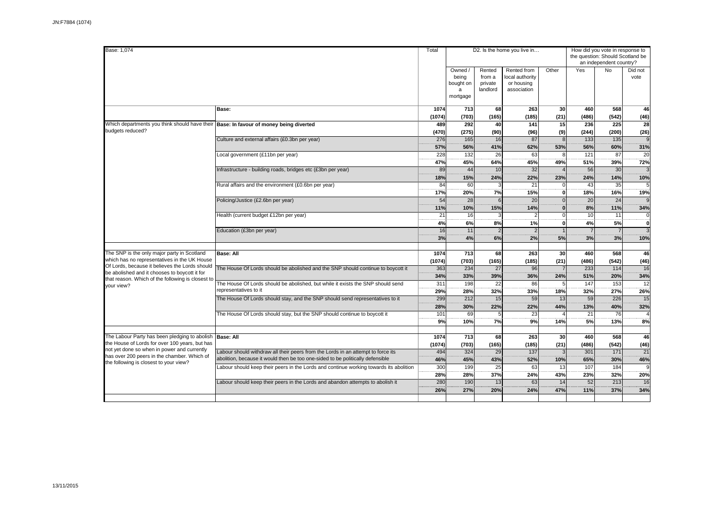| Base: 1.074                                                                                                                                     |                                                                                                                                                                          | Total                |                                                |                                         | D2. Is the home you live in                                 |                            | How did you vote in response to<br>the question: Should Scotland be<br>an independent country? |                      |                        |  |  |
|-------------------------------------------------------------------------------------------------------------------------------------------------|--------------------------------------------------------------------------------------------------------------------------------------------------------------------------|----------------------|------------------------------------------------|-----------------------------------------|-------------------------------------------------------------|----------------------------|------------------------------------------------------------------------------------------------|----------------------|------------------------|--|--|
|                                                                                                                                                 |                                                                                                                                                                          |                      | Owned /<br>being<br>bought on<br>a<br>mortgage | Rented<br>from a<br>private<br>landlord | Rented from<br>local authority<br>or housing<br>association | Other                      | Yes                                                                                            | <b>No</b>            | Did not<br>vote        |  |  |
|                                                                                                                                                 | Base:                                                                                                                                                                    | 1074<br>(1074)       | 713<br>(703)                                   | 68<br>(165)                             | 263<br>(185)                                                | 30<br>(21)                 | 460<br>(486)                                                                                   | 568<br>(542)         | 46<br>(46)             |  |  |
| Which departments you think should have their Base: In favour of money being diverted<br>budgets reduced?                                       |                                                                                                                                                                          | 489<br>(470)         | 292<br>(275)                                   | 40<br>(90)                              | 141<br>(96)                                                 | 15<br>(9)                  | 236<br>(244)                                                                                   | 225<br>(200)         | 28<br>(26)             |  |  |
|                                                                                                                                                 | Culture and external affairs (£0.3bn per year)                                                                                                                           | 276<br>57%           | 165<br>56%                                     | 16<br>41%                               | 87<br>62%                                                   | $\mathbf{8}$<br>53%        | 133<br>56%                                                                                     | 135<br>60%           | $\mathbf{g}$<br>31%    |  |  |
|                                                                                                                                                 | Local government (£11bn per year)                                                                                                                                        | 228<br>47%           | 132<br>45%                                     | 26<br>64%                               | 63<br>45%                                                   | 8<br>49%                   | 121<br>51%                                                                                     | 87<br>39%            | 20<br>72%              |  |  |
|                                                                                                                                                 | Infrastructure - building roads, bridges etc (£3bn per year)                                                                                                             | 89<br>18%            | 44<br>15%                                      | 10<br>24%                               | 32<br>22%                                                   | 23%                        | 56<br>24%                                                                                      | 30<br>14%            | 3<br>10%               |  |  |
|                                                                                                                                                 | Rural affairs and the environment (£0.6bn per year)                                                                                                                      | 84<br>17%            | 60<br>20%                                      | 3<br>7%                                 | 21<br>15%                                                   | $\Omega$<br>$\mathbf{0}$   | 43<br>18%                                                                                      | 35<br>16%            | $\overline{5}$<br>19%  |  |  |
|                                                                                                                                                 | Policing/Justice (£2.6bn per year)                                                                                                                                       | 54<br>11%            | 28<br>10%                                      | 6<br>15%                                | 20<br>14%                                                   | $\sqrt{ }$<br>$\mathbf{0}$ | 20<br>8%                                                                                       | 24<br>11%            | $\circ$<br>34%         |  |  |
|                                                                                                                                                 | Health (current budget £12bn per year)                                                                                                                                   | 21<br>4%             | 16<br>6%                                       | 8%                                      | $\overline{2}$<br>1%                                        | $\mathcal{C}$<br>$\Omega$  | 10<br>4%                                                                                       | 11<br>5%             | $\mathbf 0$<br>ö       |  |  |
|                                                                                                                                                 | Education (£3bn per year)                                                                                                                                                | 16<br>3%             | 11<br>4%                                       | $\overline{2}$<br>6%                    | $\mathfrak{p}$<br>2%                                        | 5%                         | $\overline{7}$<br>3%                                                                           | $\overline{7}$<br>3% | $\overline{3}$<br>10%  |  |  |
| The SNP is the only major party in Scotland                                                                                                     | <b>Base: All</b>                                                                                                                                                         | 1074                 | 713                                            | 68                                      | 263                                                         | 30                         | 460                                                                                            | 568                  | 46                     |  |  |
| which has no representatives in the UK House<br>Of Lords, because it believes the Lords should<br>be abolished and it chooses to boycott it for | The House Of Lords should be abolished and the SNP should continue to boycott it                                                                                         | (1074)<br>363<br>34% | (703)<br>234<br>33%                            | (165)<br>27<br>39%                      | (185)<br>96<br>36%                                          | (21)<br>24%                | (486)<br>233<br>51%                                                                            | (542)<br>114<br>20%  | (46)<br>16<br>34%      |  |  |
| that reason. Which of the following is closest to<br>vour view?                                                                                 | The House Of Lords should be abolished, but while it exists the SNP should send<br>representatives to it                                                                 | 311<br>29%           | 198<br>28%                                     | 22<br>32%                               | 86<br>33%                                                   | F<br>18%                   | 147<br>32%                                                                                     | 153<br>27%           | $\overline{12}$<br>26% |  |  |
|                                                                                                                                                 | The House Of Lords should stay, and the SNP should send representatives to it                                                                                            | 299<br>28%           | 212<br>30%                                     | 15<br>22%                               | 59<br>22%                                                   | 13<br>44%                  | 59<br>13%                                                                                      | 226<br>40%           | 15<br>32%              |  |  |
|                                                                                                                                                 | The House Of Lords should stay, but the SNP should continue to boycott it                                                                                                | 101<br>9%            | 69<br>10%                                      | 5<br>7%                                 | 23<br>9%                                                    | 14%                        | 21<br>5%                                                                                       | 76<br>13%            | 8%                     |  |  |
| The Labour Party has been pledging to abolish                                                                                                   | <b>Base: All</b>                                                                                                                                                         | 1074                 | 713                                            | 68                                      | 263                                                         | 30                         | 460                                                                                            | 568                  | 46                     |  |  |
| the House of Lords for over 100 years, but has<br>not yet done so when in power and currently<br>has over 200 peers in the chamber. Which of    | Labour should withdraw all their peers from the Lords in an attempt to force its                                                                                         | (1074)<br>494        | (703)<br>324                                   | (165)<br>29                             | (185)<br>137                                                | (21)                       | (486)<br>301                                                                                   | (542)<br>171         | (46)<br>21             |  |  |
| the following is closest to your view?                                                                                                          | abolition, because it would then be too one-sided to be politically defensible<br>Labour should keep their peers in the Lords and continue working towards its abolition | 46%<br>300           | 45%<br>199                                     | 43%<br>25                               | 52%<br>63                                                   | 10%<br>13                  | 65%<br>107                                                                                     | 30%<br>184           | 46%<br>$\mathbf{g}$    |  |  |
|                                                                                                                                                 | Labour should keep their peers in the Lords and abandon attempts to abolish it                                                                                           | 28%<br>280           | 28%<br>190                                     | 37%<br>13                               | 24%<br>63                                                   | 43%<br>14                  | 23%<br>$\overline{52}$                                                                         | 32%<br>213           | 20%<br>$\overline{16}$ |  |  |
|                                                                                                                                                 |                                                                                                                                                                          | 26%                  | 27%                                            | 20%                                     | 24%                                                         | 47%                        | 11%                                                                                            | 37%                  | 34%                    |  |  |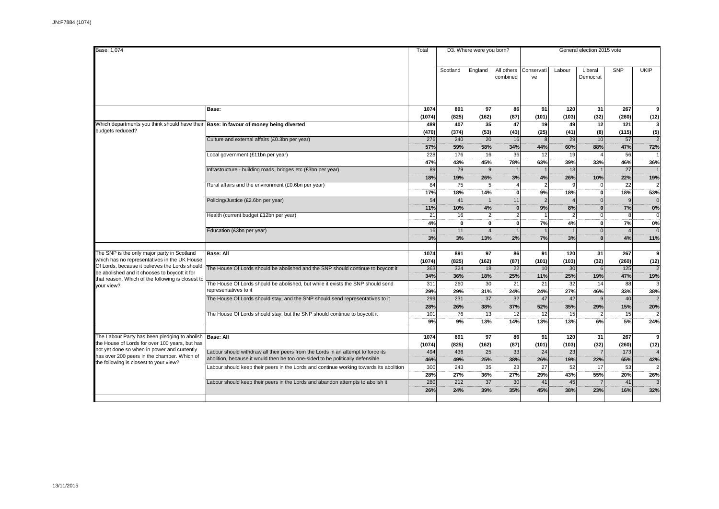| Base: 1,074                                                                                                                                                                            |                                                                                                          | Total          |              | D3. Where were you born? |                        | General election 2015 vote |                     |                     |                       |                       |  |  |
|----------------------------------------------------------------------------------------------------------------------------------------------------------------------------------------|----------------------------------------------------------------------------------------------------------|----------------|--------------|--------------------------|------------------------|----------------------------|---------------------|---------------------|-----------------------|-----------------------|--|--|
|                                                                                                                                                                                        |                                                                                                          |                | Scotland     | England                  | All others<br>combined | Conservati<br>ve           | Labour              | Liberal<br>Democrat | <b>SNP</b>            | <b>UKIP</b>           |  |  |
|                                                                                                                                                                                        |                                                                                                          |                |              |                          |                        |                            |                     |                     |                       |                       |  |  |
|                                                                                                                                                                                        | Base:                                                                                                    | 1074<br>(1074) | 891<br>(825) | 97<br>(162)              | 86<br>(87)             | 91<br>(101)                | 120<br>(103)        | 31<br>(32)          | 267<br>(260)          | 9<br>(12)             |  |  |
| Which departments you think should have their Base: In favour of money being diverted                                                                                                  |                                                                                                          | 489            | 407          | 35                       | 47                     | 19                         | 49                  | 12                  | 121                   | $\overline{3}$        |  |  |
| budgets reduced?                                                                                                                                                                       |                                                                                                          | (470)<br>276   | (374)<br>240 | (53)<br>20               | (43)<br>16             | (25)<br>8 <sup>1</sup>     | (41)<br>29          | (8)<br>10           | (115)<br>57           | (5)<br>$\overline{2}$ |  |  |
|                                                                                                                                                                                        | Culture and external affairs (£0.3bn per year)                                                           | 57%            | 59%          | 58%                      | 34%                    | 44%                        | 60%                 | 88%                 | 47%                   | 72%                   |  |  |
|                                                                                                                                                                                        | Local government (£11bn per year)                                                                        | 228            | 176          | 16                       | 36                     | 12                         | 19                  |                     | $\overline{56}$       |                       |  |  |
|                                                                                                                                                                                        |                                                                                                          | 47%            | 43%          | 45%                      | 78%                    | 63%                        | 39%                 | 33%                 | 46%                   | 36%                   |  |  |
|                                                                                                                                                                                        | Infrastructure - building roads, bridges etc (£3bn per year)                                             | 89             | 79           | 9                        |                        |                            | 13                  |                     | 27                    |                       |  |  |
|                                                                                                                                                                                        |                                                                                                          | 18%            | 19%          | 26%                      | 3%                     | 4%<br>$\mathfrak{p}$       | 26%<br>$\mathbf{Q}$ | 10%<br>$\Omega$     | 22%                   | 19%                   |  |  |
|                                                                                                                                                                                        | Rural affairs and the environment (£0.6bn per year)                                                      | 84<br>17%      | 75<br>18%    | 5<br>14%                 | $\mathbf{0}$           | 9%                         | 18%                 | $\mathbf{0}$        | 22<br>18%             | 53%                   |  |  |
|                                                                                                                                                                                        | Policing/Justice (£2.6bn per year)                                                                       | 54             | 41           | $\mathbf{1}$             | 11                     | $\mathcal{L}$              |                     | $\Omega$            | $\circ$               |                       |  |  |
|                                                                                                                                                                                        |                                                                                                          | 11%            | 10%          | 4%                       | $\mathbf{0}$           | 9%                         | 8%                  | $\Omega$            | 7%                    | 0%                    |  |  |
|                                                                                                                                                                                        | Health (current budget £12bn per year)                                                                   | 21             | 16           | $\overline{2}$           | $\overline{2}$         |                            |                     | $\Omega$            | $\mathsf{R}$          | $\Omega$              |  |  |
|                                                                                                                                                                                        |                                                                                                          | 4%             | $\mathbf{0}$ | 0                        | $\mathbf{0}$           | 7%                         | 4%                  | $\mathbf{0}$        | 7%                    | 0%                    |  |  |
|                                                                                                                                                                                        | Education (£3bn per year)                                                                                | 16             | 11           | $\overline{4}$           |                        |                            |                     | $\Omega$            | $\boldsymbol{\Delta}$ | $\Omega$              |  |  |
|                                                                                                                                                                                        |                                                                                                          | 3%             | 3%           | 13%                      | 2%                     | 7%                         | 3%                  | $\Omega$            | 4%                    | 11%                   |  |  |
| The SNP is the only major party in Scotland                                                                                                                                            | <b>Base: All</b>                                                                                         | 1074           | 891          | 97                       | 86                     | 91                         | 120                 | 31                  | 267                   | 9                     |  |  |
| which has no representatives in the UK House                                                                                                                                           |                                                                                                          | (1074)         | (825)        | (162)                    | (87)                   | (101)                      | (103)               | (32)                | (260)                 | (12)                  |  |  |
| Of Lords, because it believes the Lords should<br>be abolished and it chooses to boycott it for                                                                                        | The House Of Lords should be abolished and the SNP should continue to boycott it                         | 363            | 324          | 18                       | 22                     | 10                         | 30                  | 6                   | 125                   |                       |  |  |
| that reason. Which of the following is closest to                                                                                                                                      |                                                                                                          | 34%            | 36%          | 18%                      | 25%                    | 11%                        | 25%                 | 19%                 | 47%                   | 19%                   |  |  |
| your view?                                                                                                                                                                             | The House Of Lords should be abolished, but while it exists the SNP should send<br>representatives to it | 311            | 260          | 30                       | 21                     | 21                         | 32                  | 14                  | 88                    |                       |  |  |
|                                                                                                                                                                                        | The House Of Lords should stay, and the SNP should send representatives to it                            | 29%<br>299     | 29%<br>231   | 31%<br>37                | 24%<br>32              | 24%<br>47                  | 27%<br>42           | 46%<br>$\mathbf{Q}$ | 33%<br>40             | 38%                   |  |  |
|                                                                                                                                                                                        |                                                                                                          | 28%            | 26%          | 38%                      | 37%                    | 52%                        | 35%                 | 29%                 | 15%                   | 20%                   |  |  |
|                                                                                                                                                                                        | The House Of Lords should stay, but the SNP should continue to boycott it                                | 101            | 76           | 13                       | 12                     | 12                         | 15                  | $\overline{2}$      | 15                    |                       |  |  |
|                                                                                                                                                                                        |                                                                                                          | 9%             | 9%           | 13%                      | 14%                    | 13%                        | 13%                 | 6%                  | 5%                    | 24%                   |  |  |
| The Labour Party has been pledging to abolish                                                                                                                                          | <b>Base: All</b>                                                                                         | 1074           | 891          | 97                       | 86                     | 91                         | 120                 | 31                  | 267                   | 9                     |  |  |
| the House of Lords for over 100 years, but has<br>not yet done so when in power and currently<br>has over 200 peers in the chamber. Which of<br>the following is closest to your view? |                                                                                                          | (1074)         | (825)        | (162)                    | (87)                   | (101)                      | (103)               | (32)                | (260)                 | (12)                  |  |  |
|                                                                                                                                                                                        | Labour should withdraw all their peers from the Lords in an attempt to force its                         | 494            | 436          | 25                       | 33                     | 24                         | 23                  |                     | 173                   |                       |  |  |
|                                                                                                                                                                                        | abolition, because it would then be too one-sided to be politically defensible                           | 46%            | 49%          | 25%                      | 38%                    | 26%                        | 19%                 | 22%                 | 65%                   | 42%                   |  |  |
|                                                                                                                                                                                        | Labour should keep their peers in the Lords and continue working towards its abolition                   | 300<br>28%     | 243<br>27%   | 35<br>36%                | 23<br>27%              | 27<br>29%                  | 52<br>43%           | 17<br>55%           | 53<br>20%             | 26%                   |  |  |
|                                                                                                                                                                                        | Labour should keep their peers in the Lords and abandon attempts to abolish it                           | 280            | 212          | 37                       | 30                     | 41                         | 45                  |                     | $\overline{41}$       |                       |  |  |
|                                                                                                                                                                                        |                                                                                                          | 26%            | 24%          | 39%                      | 35%                    | 45%                        | 38%                 | 23%                 | 16%                   | 32%                   |  |  |
|                                                                                                                                                                                        |                                                                                                          |                |              |                          |                        |                            |                     |                     |                       |                       |  |  |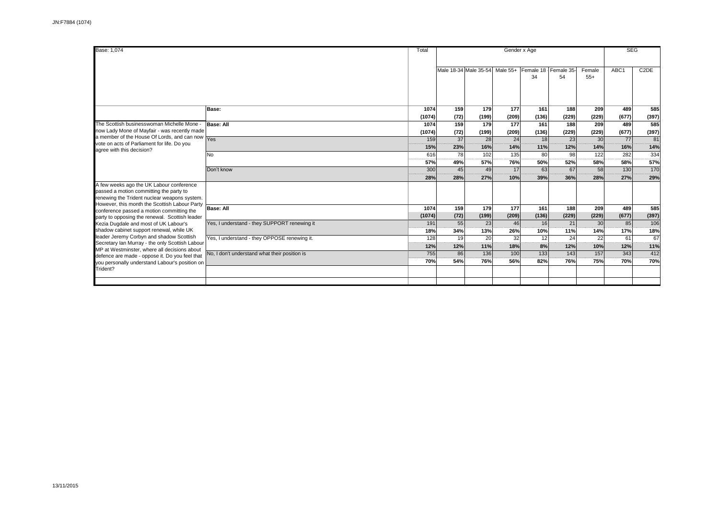| Base: 1.074                                                                                                                                                                                                                                                 |                                               | Total  | Gender x Age          |       |          |       |                            |                 | <b>SEG</b> |                   |  |
|-------------------------------------------------------------------------------------------------------------------------------------------------------------------------------------------------------------------------------------------------------------|-----------------------------------------------|--------|-----------------------|-------|----------|-------|----------------------------|-----------------|------------|-------------------|--|
|                                                                                                                                                                                                                                                             |                                               |        | Male 18-34 Male 35-54 |       | Male 55+ | 34    | Female 18 Female 35-<br>54 | Female<br>$55+$ | ABC1       | C <sub>2</sub> DE |  |
|                                                                                                                                                                                                                                                             | Base:                                         | 1074   | 159                   | 179   | 177      | 161   | 188                        | 209             | 489        | 585               |  |
|                                                                                                                                                                                                                                                             |                                               | (1074) | (72)                  | (199) | (209)    | (136) | (229)                      | (229)           | (677)      | (397)             |  |
| The Scottish businesswoman Michelle Mone -                                                                                                                                                                                                                  | <b>Base: All</b>                              | 1074   | 159                   | 179   | 177      | 161   | 188                        | 209             | 489        | 585               |  |
| now Lady Mone of Mayfair - was recently made<br>a member of the House Of Lords, and can now Yes                                                                                                                                                             |                                               | (1074) | (72)                  | (199) | (209)    | (136) | (229)                      | (229)           | (677)      | (397)             |  |
|                                                                                                                                                                                                                                                             |                                               | 159    | 37                    | 28    | 24       | 18    | 23                         | 30              | 77         | 81                |  |
| vote on acts of Parliament for life. Do you<br>agree with this decision?                                                                                                                                                                                    |                                               | 15%    | 23%                   | 16%   | 14%      | 11%   | 12%                        | 14%             | 16%        | 14%               |  |
|                                                                                                                                                                                                                                                             | No                                            | 616    | 78                    | 102   | 135      | 80    | 98                         | 122             | 282        | 334               |  |
|                                                                                                                                                                                                                                                             |                                               | 57%    | 49%                   | 57%   | 76%      | 50%   | 52%                        | 58%             | 58%        | 57%               |  |
|                                                                                                                                                                                                                                                             | Don't know                                    | 300    | 45                    | 49    | 17       | 63    | 67                         | 58              | 130        | 170               |  |
|                                                                                                                                                                                                                                                             |                                               | 28%    | 28%                   | 27%   | 10%      | 39%   | 36%                        | 28%             | 27%        | 29%               |  |
| A few weeks ago the UK Labour conference<br>passed a motion committing the party to<br>renewing the Trident nuclear weapons system.<br>However, this month the Scottish Labour Party                                                                        |                                               |        |                       |       |          |       |                            |                 |            |                   |  |
| conference passed a motion committing the                                                                                                                                                                                                                   | <b>Base: All</b>                              | 1074   | 159                   | 179   | 177      | 161   | 188                        | 209             | 489        | 585               |  |
| party to opposing the renewal. Scottish leader                                                                                                                                                                                                              |                                               | (1074) | (72)                  | (199) | (209)    | (136) | (229)                      | (229)           | (677)      | (397)             |  |
| Kezia Dugdale and most of UK Labour's                                                                                                                                                                                                                       | Yes, I understand - they SUPPORT renewing it  | 191    | 55                    | 23    | 46       | 16    | 21                         | 30              | 85         | 106               |  |
| shadow cabinet support renewal, while UK                                                                                                                                                                                                                    |                                               | 18%    | 34%                   | 13%   | 26%      | 10%   | 11%                        | 14%             | 17%        | 18%               |  |
| leader Jeremy Corbyn and shadow Scottish<br>Secretary Ian Murray - the only Scottish Labour<br>MP at Westminster, where all decisions about<br>defence are made - oppose it. Do you feel that<br>you personally understand Labour's position on<br>Trident? | Yes, I understand - they OPPOSE renewing it.  | 128    | 19                    | 20    | 32       | 12    | 24                         | 22              | 61         | 67                |  |
|                                                                                                                                                                                                                                                             |                                               | 12%    | 12%                   | 11%   | 18%      | 8%    | 12%                        | 10%             | 12%        | 11%               |  |
|                                                                                                                                                                                                                                                             | No, I don't understand what their position is | 755    | 86                    | 136   | 100      | 133   | 143                        | 157             | 343        | 412               |  |
|                                                                                                                                                                                                                                                             |                                               | 70%    | 54%                   | 76%   | 56%      | 82%   | 76%                        | 75%             | 70%        | 70%               |  |
|                                                                                                                                                                                                                                                             |                                               |        |                       |       |          |       |                            |                 |            |                   |  |
|                                                                                                                                                                                                                                                             |                                               |        |                       |       |          |       |                            |                 |            |                   |  |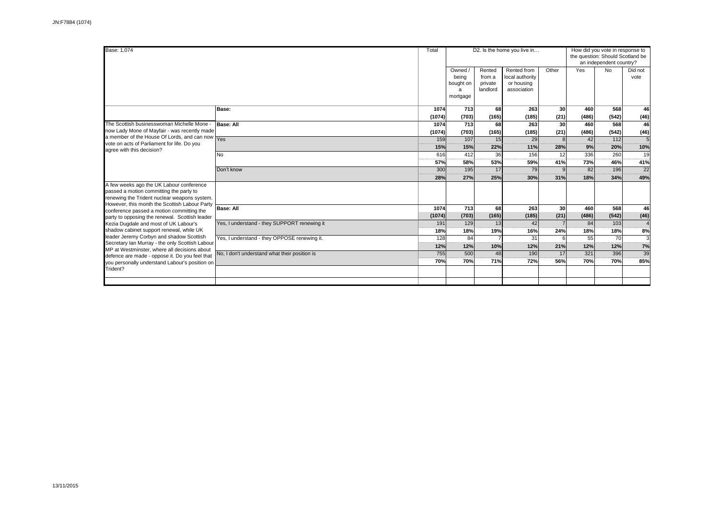| Base: 1,074                                                                                                                                                                                                                                                                                 |                                               | Total          |                                                |                                         | D2. Is the home you live in                                 |            | How did you vote in response to<br>the question: Should Scotland be<br>an independent country? |              |                 |  |
|---------------------------------------------------------------------------------------------------------------------------------------------------------------------------------------------------------------------------------------------------------------------------------------------|-----------------------------------------------|----------------|------------------------------------------------|-----------------------------------------|-------------------------------------------------------------|------------|------------------------------------------------------------------------------------------------|--------------|-----------------|--|
|                                                                                                                                                                                                                                                                                             |                                               |                | Owned /<br>being<br>bought on<br>a<br>mortgage | Rented<br>from a<br>private<br>landlord | Rented from<br>local authority<br>or housing<br>association | Other      | Yes                                                                                            | No           | Did not<br>vote |  |
|                                                                                                                                                                                                                                                                                             | Base:                                         | 1074<br>(1074) | 713<br>(703)                                   | 68<br>(165)                             | 263<br>(185)                                                | 30<br>(21) | 460<br>(486)                                                                                   | 568<br>(542) | 46<br>(46)      |  |
| The Scottish businesswoman Michelle Mone -                                                                                                                                                                                                                                                  | Base: All                                     | 1074           | 713                                            | 68                                      | 263                                                         | 30         | 460                                                                                            | 568          | 46              |  |
| now Lady Mone of Mayfair - was recently made                                                                                                                                                                                                                                                |                                               | (1074)         | (703)                                          | (165)                                   | (185)                                                       | (21)       | (486)                                                                                          | (542)        | (46)            |  |
| a member of the House Of Lords, and can now<br>vote on acts of Parliament for life. Do you                                                                                                                                                                                                  | Yes                                           | 159            | 107                                            | 15                                      | 29                                                          |            | 42                                                                                             | 112          |                 |  |
| agree with this decision?                                                                                                                                                                                                                                                                   |                                               | 15%            | 15%                                            | 22%                                     | 11%                                                         | 28%        | 9%                                                                                             | 20%          | 10%             |  |
|                                                                                                                                                                                                                                                                                             | No                                            | 616            | 412                                            | 36                                      | 156                                                         | 12         | 336                                                                                            | 260          | 19              |  |
|                                                                                                                                                                                                                                                                                             |                                               | 57%            | 58%                                            | 53%                                     | 59%                                                         | 41%        | 73%                                                                                            | 46%          | 41%             |  |
|                                                                                                                                                                                                                                                                                             | Don't know                                    | 300            | 195                                            | 17                                      | 79                                                          |            | 82                                                                                             | 196          | 22              |  |
|                                                                                                                                                                                                                                                                                             |                                               | 28%            | 27%                                            | 25%                                     | 30%                                                         | 31%        | 18%                                                                                            | 34%          | 49%             |  |
| A few weeks ago the UK Labour conference<br>passed a motion committing the party to<br>renewing the Trident nuclear weapons system.<br>However, this month the Scottish Labour Party                                                                                                        |                                               |                |                                                |                                         |                                                             |            |                                                                                                |              |                 |  |
| conference passed a motion committing the                                                                                                                                                                                                                                                   | <b>Base: All</b>                              | 1074           | 713                                            | 68                                      | 263                                                         | 30         | 460                                                                                            | 568          | 46              |  |
| party to opposing the renewal. Scottish leader                                                                                                                                                                                                                                              |                                               | (1074)         | (703)                                          | (165)                                   | (185)                                                       | (21)       | (486)                                                                                          | (542)        | (46)            |  |
| Kezia Dugdale and most of UK Labour's                                                                                                                                                                                                                                                       | Yes, I understand - they SUPPORT renewing it  | 191            | 129                                            | 13                                      | 42                                                          |            | 84                                                                                             | 103          |                 |  |
| shadow cabinet support renewal, while UK<br>leader Jeremy Corbyn and shadow Scottish<br>Secretary Ian Murray - the only Scottish Labour<br>MP at Westminster, where all decisions about<br>defence are made - oppose it. Do you feel that<br>you personally understand Labour's position on |                                               | 18%            | 18%                                            | 19%                                     | 16%                                                         | 24%        | 18%                                                                                            | 18%          | 8%              |  |
|                                                                                                                                                                                                                                                                                             | Yes, I understand - they OPPOSE renewing it.  | 128            | 84                                             |                                         | 31                                                          |            | 55                                                                                             | 70           | 3               |  |
|                                                                                                                                                                                                                                                                                             |                                               | 12%            | 12%                                            | 10%                                     | 12%                                                         | 21%        | 12%                                                                                            | 12%          | 7%              |  |
|                                                                                                                                                                                                                                                                                             | No, I don't understand what their position is | 755            | 500                                            | 48                                      | 190                                                         | 17         | 321                                                                                            | 396          | 39              |  |
|                                                                                                                                                                                                                                                                                             |                                               | 70%            | 70%                                            | 71%                                     | 72%                                                         | 56%        | 70%                                                                                            | 70%          | 85%             |  |
| Trident?                                                                                                                                                                                                                                                                                    |                                               |                |                                                |                                         |                                                             |            |                                                                                                |              |                 |  |
|                                                                                                                                                                                                                                                                                             |                                               |                |                                                |                                         |                                                             |            |                                                                                                |              |                 |  |